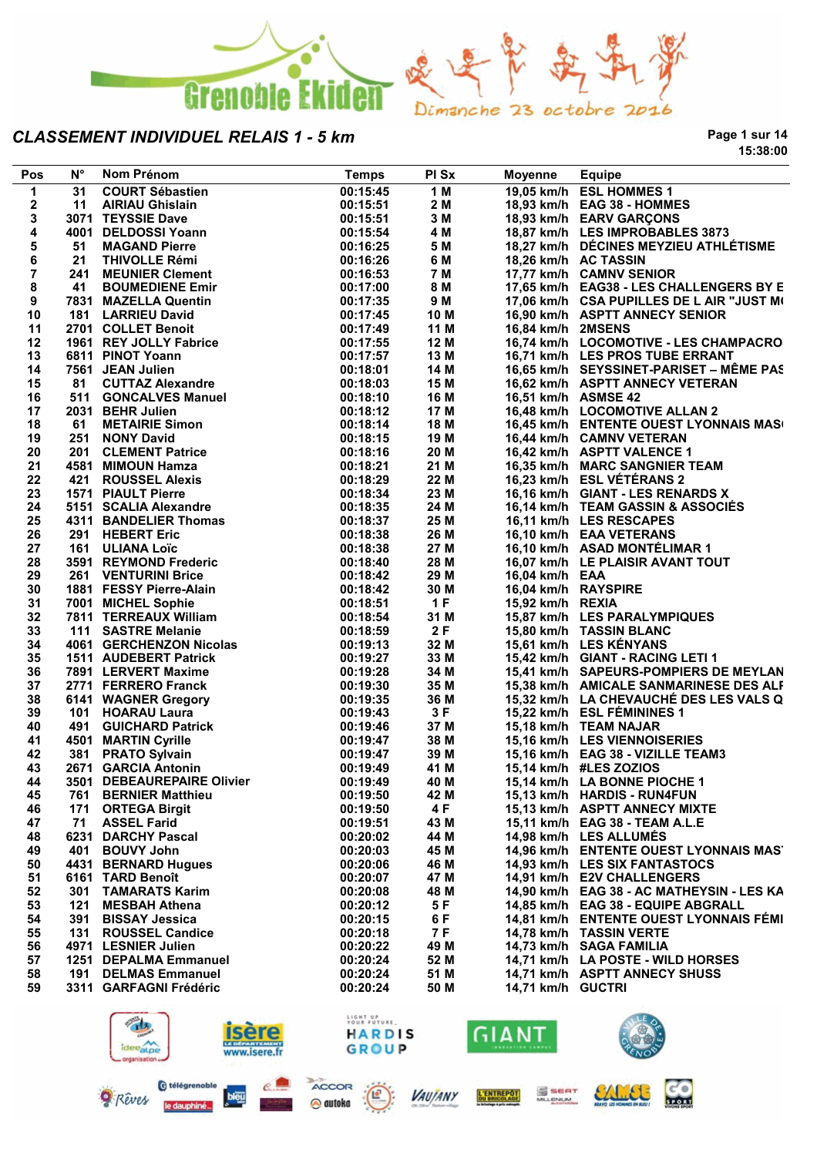

**Page 1 sur 14 15:38:00**

| Pos            | $N^{\circ}$ | Nom Prénom                                    | <b>Temps</b>         | PI Sx        | Moyenne             | <b>Equipe</b>                                                                   |
|----------------|-------------|-----------------------------------------------|----------------------|--------------|---------------------|---------------------------------------------------------------------------------|
| 1              | 31          | <b>COURT Sébastien</b>                        | 00:15:45             | 1 M          |                     | 19,05 km/h ESL HOMMES 1                                                         |
| 2              | 11          | <b>AIRIAU Ghislain</b>                        | 00:15:51             | 2 M          |                     | 18,93 km/h EAG 38 - HOMMES                                                      |
| 3              |             | 3071 TEYSSIE Dave                             | 00:15:51             | 3 M          |                     | 18,93 km/h EARV GARÇONS                                                         |
| 4              |             | 4001 DELDOSSI Yoann                           | 00:15:54             | 4 M          |                     | 18,87 km/h LES IMPROBABLES 3873                                                 |
| 5              | 51          | <b>MAGAND Pierre</b>                          | 00:16:25             | 5 M          |                     | 18,27 km/h DÉCINES MEYZIEU ATHLÉTISME                                           |
| 6              | 21          | <b>THIVOLLE Rémi</b>                          | 00:16:26             | 6 M          |                     | 18,26 km/h AC TASSIN                                                            |
| $\overline{7}$ |             | 241 MEUNIER Clement                           | 00:16:53             | 7 M          |                     | 17,77 km/h CAMNV SENIOR                                                         |
| 8              | 41          | <b>BOUMEDIENE Emir</b>                        | 00:17:00             | 8 M          |                     | 17,65 km/h EAG38 - LES CHALLENGERS BY E                                         |
| 9              |             | 7831 MAZELLA Quentin                          | 00:17:35             | 9 M          |                     | 17,06 km/h CSA PUPILLES DE L AIR "JUST M(                                       |
| 10             |             | 181 LARRIEU David                             | 00:17:45             | 10 M         |                     | 16,90 km/h ASPTT ANNECY SENIOR                                                  |
| 11             |             | 2701 COLLET Benoit                            | 00:17:49             | 11 M         | 16,84 km/h 2MSENS   |                                                                                 |
| 12             |             | 1961 REY JOLLY Fabrice                        | 00:17:55             | 12 M         |                     | 16,74 km/h LOCOMOTIVE - LES CHAMPACRO                                           |
| 13             |             | 6811 PINOT Yoann                              | 00:17:57             | 13 M         |                     | 16,71 km/h LES PROS TUBE ERRANT                                                 |
| 14             |             | 7561 JEAN Julien                              | 00:18:01             | 14 M         |                     | 16,65 km/h SEYSSINET-PARISET - MÊME PAS                                         |
| 15             |             | 81 CUTTAZ Alexandre                           | 00:18:03             | 15 M         |                     | 16,62 km/h ASPTT ANNECY VETERAN                                                 |
| 16             |             | 511 GONCALVES Manuel                          | 00:18:10             | 16 M         | 16,51 km/h ASMSE 42 |                                                                                 |
| 17             |             | 2031 BEHR Julien                              | 00:18:12             | 17 M         |                     | 16,48 km/h LOCOMOTIVE ALLAN 2<br>16,45 km/h ENTENTE OUEST LYONNAIS MAS(         |
| 18<br>19       |             | 61 METAIRIE Simon<br>251 NONY David           | 00:18:14<br>00:18:15 | 18 M<br>19 M |                     | 16,44 km/h CAMNV VETERAN                                                        |
| 20             |             | 201 CLEMENT Patrice                           | 00:18:16             | 20 M         |                     | 16,42 km/h ASPTT VALENCE 1                                                      |
| 21             |             | 4581 MIMOUN Hamza                             | 00:18:21             | 21 M         |                     | 16,35 km/h MARC SANGNIER TEAM                                                   |
| 22             |             | 421 ROUSSEL Alexis                            | 00:18:29             | 22 M         |                     | 16,23 km/h ESL VÉTÉRANS 2                                                       |
| 23             |             | <b>1571 PIAULT Pierre</b>                     | 00:18:34             | 23 M         |                     | 16,16 km/h GIANT - LES RENARDS X                                                |
| 24             |             | 5151 SCALIA Alexandre                         | 00:18:35             | 24 M         |                     | 16,14 km/h TEAM GASSIN & ASSOCIÉS                                               |
| 25             |             | 4311 BANDELIER Thomas                         | 00:18:37             | 25 M         |                     | 16,11 km/h LES RESCAPES                                                         |
| 26             |             | 291 HEBERT Eric                               | 00:18:38             | 26 M         |                     | 16,10 km/h EAA VETERANS                                                         |
| 27             |             | 161 ULIANA Loïc                               | 00:18:38             | 27 M         |                     | 16,10 km/h ASAD MONTÉLIMAR 1                                                    |
| 28             |             | 3591 REYMOND Frederic                         | 00:18:40             | 28 M         |                     | 16,07 km/h LE PLAISIR AVANT TOUT                                                |
| 29             |             | <b>261 VENTURINI Brice</b>                    | 00:18:42             | 29 M         | 16,04 km/h EAA      |                                                                                 |
| 30             |             | 1881 FESSY Pierre-Alain                       | 00:18:42             | 30 M         | 16,04 km/h RAYSPIRE |                                                                                 |
| 31             |             | 7001 MICHEL Sophie                            | 00:18:51             | 1F           | 15,92 km/h REXIA    |                                                                                 |
| 32             |             | 7811 TERREAUX William                         | 00:18:54             | 31 M         |                     | 15,87 km/h LES PARALYMPIQUES                                                    |
| 33             |             | 111 SASTRE Melanie                            | 00:18:59             | 2F           |                     | 15,80 km/h TASSIN BLANC                                                         |
| 34             |             | 4061 GERCHENZON Nicolas                       | 00:19:13             | 32 M         |                     | 15,61 km/h LES KÉNYANS                                                          |
| 35             |             | 1511 AUDEBERT Patrick                         | 00:19:27             | 33 M         |                     | 15,42 km/h GIANT - RACING LETI 1                                                |
| 36             |             | 7891 LERVERT Maxime                           | 00:19:28             | 34 M         |                     | 15,41 km/h SAPEURS-POMPIERS DE MEYLAN                                           |
| 37             |             | 2771 FERRERO Franck                           | 00:19:30             | 35 M         |                     | 15,38 km/h AMICALE SANMARINESE DES ALF                                          |
| 38             |             | 6141 WAGNER Gregory                           | 00:19:35             | 36 M         |                     | 15,32 km/h LA CHEVAUCHÉ DES LES VALS Q                                          |
| 39             |             | 101 HOARAU Laura                              | 00:19:43             | 3F           |                     | 15,22 km/h ESL FÉMININES 1                                                      |
| 40             |             | 491 GUICHARD Patrick                          | 00:19:46             | 37 M         |                     | 15,18 km/h TEAM NAJAR                                                           |
| 41             |             | 4501 MARTIN Cyrille                           | 00:19:47             | 38 M         |                     | 15,16 km/h LES VIENNOISERIES                                                    |
| 42             |             | 381 PRATO Sylvain                             | 00:19:47             | 39 M         |                     | 15,16 km/h EAG 38 - VIZILLE TEAM3                                               |
| 43             |             | 2671 GARCIA Antonin                           | 00:19:49             | 41 M         |                     | 15,14 km/h #LES ZOZIOS                                                          |
| 44             |             | 3501 DEBEAUREPAIRE Olivier                    | 00:19:49             | 40 M         |                     | 15,14 km/h LA BONNE PIOCHE 1                                                    |
| 45             |             | 761 BERNIER Matthieu                          | 00:19:50             | 42 M         |                     | 15,13 km/h HARDIS - RUN4FUN                                                     |
| 46             | 171         | <b>ORTEGA Birgit</b>                          | 00:19:50             | 4 F          |                     | 15,13 km/h ASPTT ANNECY MIXTE                                                   |
| 47             | 71          | <b>ASSEL Farid</b>                            | 00:19:51             | 43 M         |                     | 15,11 km/h EAG 38 - TEAM A.L.E                                                  |
| 48             |             | 6231 DARCHY Pascal                            | 00:20:02             | 44 M         |                     | 14,98 km/h LES ALLUMES                                                          |
| 49             | 401         | <b>BOUVY John</b>                             | 00:20:03             | 45 M         |                     | 14,96 km/h ENTENTE OUEST LYONNAIS MAS                                           |
| 50             |             | 4431 BERNARD Hugues                           | 00:20:06             | 46 M         |                     | 14,93 km/h LES SIX FANTASTOCS                                                   |
| 51             |             | 6161 TARD Benoît                              | 00:20:07<br>00:20:08 | 47 M         |                     | 14,91 km/h E2V CHALLENGERS                                                      |
| 52<br>53       | 301<br>121  | <b>TAMARATS Karim</b><br><b>MESBAH Athena</b> | 00:20:12             | 48 M<br>5 F  |                     | 14,90 km/h EAG 38 - AC MATHEYSIN - LES KA<br>14,85 km/h EAG 38 - EQUIPE ABGRALL |
| 54             | 391         | <b>BISSAY Jessica</b>                         | 00:20:15             | 6 F          |                     |                                                                                 |
| 55             | 131         | <b>ROUSSEL Candice</b>                        | 00:20:18             | 7 F          |                     | 14,81 km/h ENTENTE OUEST LYONNAIS FEMI<br>14.78 km/h TASSIN VERTE               |
| 56             |             | 4971 LESNIER Julien                           | 00:20:22             | 49 M         |                     | 14,73 km/h SAGA FAMILIA                                                         |
| 57             |             | 1251 DEPALMA Emmanuel                         | 00:20:24             | 52 M         |                     | 14,71 km/h LA POSTE - WILD HORSES                                               |
| 58             | 191         | <b>DELMAS Emmanuel</b>                        | 00:20:24             | 51 M         |                     | 14,71 km/h ASPTT ANNECY SHUSS                                                   |
| 59             |             | 3311 GARFAGNI Frédéric                        | 00:20:24             | 50 M         | 14,71 km/h GUCTRI   |                                                                                 |
|                |             |                                               |                      |              |                     |                                                                                 |
|                |             |                                               |                      |              |                     |                                                                                 |





SALLEL

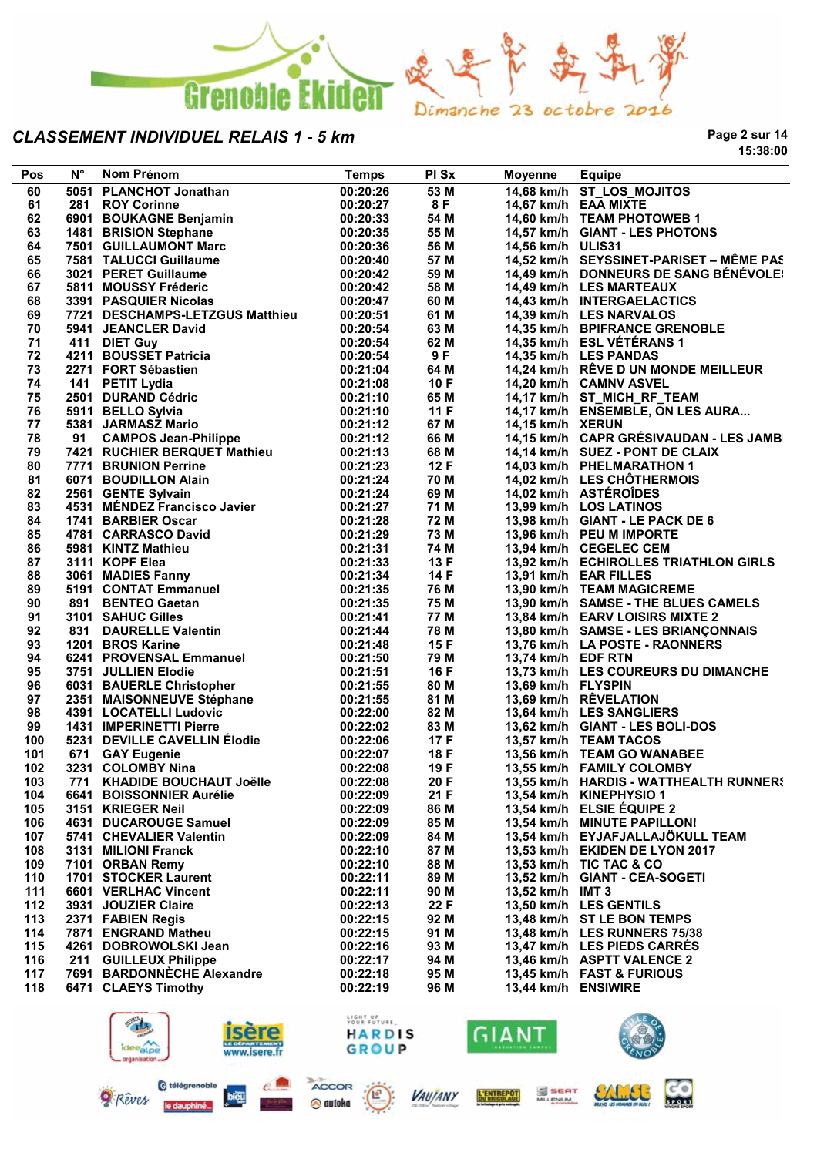

**Page 2 sur 14 15:38:00**

| Pos | $N^{\circ}$ | Nom Prénom                                                                                                                                 | <b>Temps</b> | PI Sx | <b>Moyenne</b>      | <b>Equipe</b>                           |
|-----|-------------|--------------------------------------------------------------------------------------------------------------------------------------------|--------------|-------|---------------------|-----------------------------------------|
| 60  |             | 5051 PLANCHOT Jonathan                                                                                                                     | 00:20:26     | 53 M  |                     | 14,68 km/h ST_LOS_MOJITOS               |
| 61  |             | 281 ROY Corinne                                                                                                                            | 00:20:27     | 8 F   |                     | 14,67 km/h EAA MIXTE                    |
| 62  |             | 6901 BOUKAGNE Benjamin                                                                                                                     | 00:20:33     | 54 M  |                     | 14,60 km/h TEAM PHOTOWEB 1              |
| 63  |             | 1481 BRISION Stephane                                                                                                                      | 00:20:35     | 55 M  |                     | 14,57 km/h GIANT - LES PHOTONS          |
| 64  |             | 7501 GUILLAUMONT Marc<br>7584 TALLICCI Guillaume                                                                                           | 00:20:36     | 56 M  | 14,56 km/h ULIS31   |                                         |
| 65  |             |                                                                                                                                            | 00:20:40     | 57 M  |                     | 14,52 km/h SEYSSINET-PARISET - MÊME PAS |
| 66  |             | 3021 PERET Guillaume                                                                                                                       | 00:20:42     | 59 M  |                     | 14,49 km/h DONNEURS DE SANG BÉNÉVOLE!   |
| 67  |             | 5811 MOUSSY Fréderic                                                                                                                       | 00:20:42     | 58 M  |                     | 14,49 km/h LES MARTEAUX                 |
|     |             |                                                                                                                                            |              |       |                     |                                         |
| 68  |             | 3391 PASQUIER Nicolas                                                                                                                      | 00:20:47     | 60 M  |                     | 14,43 km/h INTERGAELACTICS              |
| 69  |             | 7721 DESCHAMPS-LETZGUS Matthieu                                                                                                            | 00:20:51     | 61 M  |                     | 14,39 km/h LES NARVALOS                 |
| 70  |             | 5941 JEANCLER David                                                                                                                        | 00:20:54     | 63 M  |                     | 14,35 km/h BPIFRANCE GRENOBLE           |
| 71  |             | 411 DIET Guy                                                                                                                               | 00:20:54     | 62 M  |                     | 14,35 km/h ESL VÉTÉRANS 1               |
| 72  |             | 4211 BOUSSET Patricia                                                                                                                      | 00:20:54     | 9F    |                     | 14,35 km/h LES PANDAS                   |
| 73  |             |                                                                                                                                            | 00:21:04     | 64 M  |                     | 14,24 km/h RÊVE D UN MONDE MEILLEUR     |
| 74  |             |                                                                                                                                            | 00:21:08     | 10F   |                     | 14,20 km/h CAMNV ASVEL                  |
| 75  |             |                                                                                                                                            | 00:21:10     | 65 M  |                     | 14,17 km/h ST_MICH_RF_TEAM              |
| 76  |             |                                                                                                                                            | 00:21:10     | 11F   |                     | 14,17 km/h ENSEMBLE, ON LES AURA        |
| 77  |             | zz <i>i</i> 1 FORT Sébastien<br>141 PETIT Lydia<br>2501 DURAND Cédric<br>5911 BELLO Sylvia<br>5381 JARMASZ Mario<br>91 CAMPOS Joan Phillip | 00:21:12     | 67 M  | 14,15 km/h XERUN    |                                         |
| 78  | 91          | <b>CAMPOS Jean-Philippe</b>                                                                                                                | 00:21:12     | 66 M  |                     | 14,15 km/h CAPR GRÉSIVAUDAN - LES JAMB  |
| 79  |             | 7421 RUCHIER BERQUET Mathieu                                                                                                               | 00:21:13     | 68 M  |                     | 14,14 km/h SUEZ - PONT DE CLAIX         |
| 80  |             | 7771 BRUNION Perrine                                                                                                                       | 00:21:23     | 12F   |                     | 14,03 km/h PHELMARATHON 1               |
| 81  |             | 6071 BOUDILLON Alain                                                                                                                       | 00:21:24     | 70 M  |                     | 14,02 km/h LES CHÖTHERMOIS              |
| 82  |             | 2561 GENTE Sylvain                                                                                                                         | 00:21:24     | 69 M  |                     | 14,02 km/h ASTÉROÎDES                   |
| 83  |             |                                                                                                                                            | 00:21:27     | 71 M  |                     | 13,99 km/h LOS LATINOS                  |
|     |             | 4531 MÉNDEZ Francisco Javier<br>4744 BABBLEB Oscar                                                                                         |              |       |                     |                                         |
| 84  |             | 1741 BARBIER Oscar                                                                                                                         | 00:21:28     | 72 M  |                     | 13,98 km/h GIANT - LE PACK DE 6         |
| 85  |             |                                                                                                                                            | 00:21:29     | 73 M  |                     | 13,96 km/h PEU M IMPORTE                |
| 86  |             |                                                                                                                                            | 00:21:31     | 74 M  |                     | 13,94 km/h CEGELEC CEM                  |
| 87  |             | 4781 CARRASCO David<br>5981 KINTZ Mathieu<br>3111 KOPF Elea<br>3061 MADIES Fanny<br>5191 CONTAT Emmanuel                                   | 00:21:33     | 13 F  |                     | 13,92 km/h ECHIROLLES TRIATHLON GIRLS   |
| 88  |             |                                                                                                                                            | 00:21:34     | 14 F  |                     | 13,91 km/h EAR FILLES                   |
| 89  |             |                                                                                                                                            | 00:21:35     | 76 M  |                     | 13,90 km/h TEAM MAGICREME               |
| 90  |             | 891 BENTEO Gaetan                                                                                                                          | 00:21:35     | 75 M  |                     | 13,90 km/h SAMSE - THE BLUES CAMELS     |
| 91  |             | 3101 SAHUC Gilles                                                                                                                          | 00:21:41     | 77 M  |                     | 13,84 km/h EARV LOISIRS MIXTE 2         |
| 92  |             | <b>SALES SECTION SETS</b><br>1201 BROS Karine<br>5244 BROS Karine                                                                          | 00:21:44     | 78 M  |                     | 13,80 km/h SAMSE - LES BRIANÇONNAIS     |
| 93  |             | 1201 BROS Karine                                                                                                                           | 00:21:48     | 15F   |                     | 13,76 km/h LA POSTE - RAONNERS          |
| 94  |             | 6241 PROVENSAL Emmanuel                                                                                                                    | 00:21:50     | 79 M  | 13,74 km/h EDF RTN  |                                         |
| 95  |             | 3751 JULLIEN Elodie                                                                                                                        | 00:21:51     | 16 F  |                     | 13,73 km/h LES COUREURS DU DIMANCHE     |
| 96  |             | 6031 BAUERLE Christopher                                                                                                                   | 00:21:55     | 80 M  | 13,69 km/h FLYSPIN  |                                         |
| 97  |             |                                                                                                                                            | 00:21:55     | 81 M  |                     | 13,69 km/h RÊVELATION                   |
| 98  |             | 2351 MAISONNEUVE Stéphane<br>4391 LOCATELLI Ludovic<br>4391 LOCATELLI Ludovic                                                              | 00:22:00     | 82 M  |                     | 13,64 km/h LES SANGLIERS                |
| 99  |             | <b>1431 IMPERINETTI Pierre</b>                                                                                                             | 00:22:02     | 83 M  |                     | 13,62 km/h GIANT - LES BOLI-DOS         |
| 100 |             |                                                                                                                                            |              | 17 F  |                     |                                         |
|     |             | 5231   DEVILLE CAVELLIN Élodie<br>671   GAY Eugenie<br>3231   COLOMBY Nina                                                                 | 00:22:06     |       |                     | 13,57 km/h TEAM TACOS                   |
| 101 |             |                                                                                                                                            | 00:22:07     | 18 F  |                     | 13,56 km/h TEAM GO WANABEE              |
| 102 |             | 3231 COLOMBY Nina                                                                                                                          | 00:22:08     | 19 F  |                     | 13,55 km/h FAMILY COLOMBY               |
| 103 |             | 771 KHADIDE BOUCHAUT Joëlle 00:22:08                                                                                                       |              | 20 F  |                     | 13,55 km/h HARDIS - WATTHEALTH RUNNERS  |
| 104 |             | 6641 BOISSONNIER Aurélie                                                                                                                   | 00:22:09     | 21 F  |                     | 13,54 km/h KINEPHYSIO 1                 |
| 105 |             | 3151 KRIEGER Neil                                                                                                                          | 00:22:09     | 86 M  |                     | 13,54 km/h ELSIE ÉQUIPE 2               |
| 106 |             | 4631 DUCAROUGE Samuel                                                                                                                      | 00:22:09     | 85 M  |                     | 13,54 km/h MINUTE PAPILLON!             |
| 107 |             | 5741 CHEVALIER Valentin                                                                                                                    | 00:22:09     | 84 M  |                     | 13,54 km/h EYJAFJALLAJÖKULL TEAM        |
| 108 |             | 3131 MILIONI Franck                                                                                                                        | 00:22:10     | 87 M  |                     | 13,53 km/h EKIDEN DE LYON 2017          |
| 109 |             | 7101 ORBAN Remy                                                                                                                            | 00:22:10     | 88 M  |                     | 13,53 km/h TIC TAC & CO                 |
| 110 |             | 1701 STOCKER Laurent                                                                                                                       | 00:22:11     | 89 M  |                     | 13,52 km/h GIANT - CEA-SOGETI           |
| 111 |             | 6601 VERLHAC Vincent                                                                                                                       | 00:22:11     | 90 M  | 13,52 km/h IMT 3    |                                         |
| 112 |             | 3931 JOUZIER Claire                                                                                                                        | 00:22:13     | 22 F  |                     | 13,50 km/h LES GENTILS                  |
| 113 |             | 2371 FABIEN Regis                                                                                                                          | 00:22:15     | 92 M  |                     | 13,48 km/h ST LE BON TEMPS              |
| 114 |             | 7871 ENGRAND Matheu                                                                                                                        | 00:22:15     | 91 M  |                     | 13,48 km/h LES RUNNERS 75/38            |
|     |             |                                                                                                                                            |              |       |                     |                                         |
| 115 |             | 4261 DOBROWOLSKI Jean                                                                                                                      | 00:22:16     | 93 M  |                     | 13,47 km/h LES PIEDS CARRES             |
| 116 |             | 211 GUILLEUX Philippe                                                                                                                      | 00:22:17     | 94 M  |                     | 13,46 km/h ASPTT VALENCE 2              |
| 117 |             | 7691 BARDONNECHE Alexandre                                                                                                                 | 00:22:18     | 95 M  |                     | 13,45 km/h FAST & FURIOUS               |
| 118 |             | 6471 CLAEYS Timothy                                                                                                                        | 00:22:19     | 96 M  | 13,44 km/h ENSIWIRE |                                         |
|     |             |                                                                                                                                            |              |       |                     |                                         |



@ autoka

le daupt



SALLEL

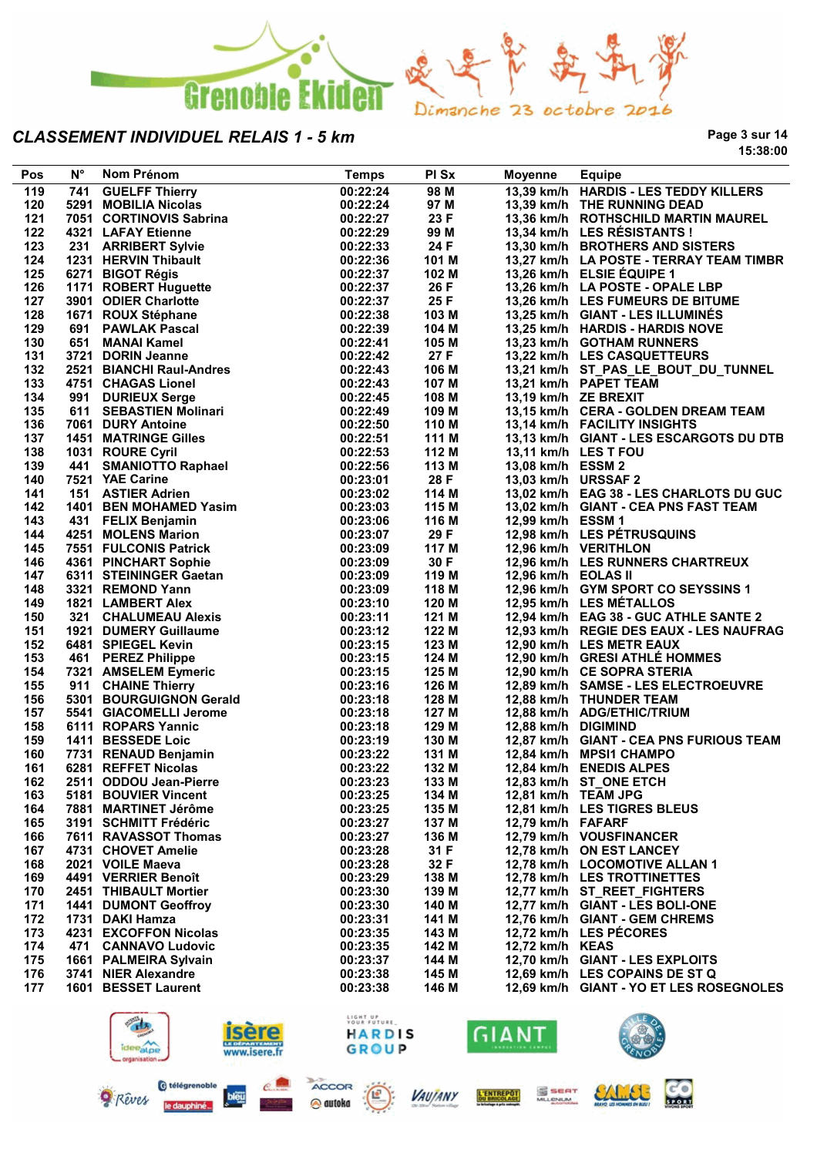

**Page 3 sur 14 15:38:00**

| Pos | $N^{\circ}$ | Nom Prénom                                                  | <b>Temps</b> | PI Sx | <b>Moyenne</b>      | <b>Equipe</b>                                                  |
|-----|-------------|-------------------------------------------------------------|--------------|-------|---------------------|----------------------------------------------------------------|
| 119 | 741         | <b>GUELFF Thierry</b>                                       | 00:22:24     | 98 M  |                     | 13,39 km/h HARDIS - LES TEDDY KILLERS                          |
| 120 |             | 5291 MOBILIA Nicolas                                        | 00:22:24     | 97 M  |                     | 13,39 km/h THE RUNNING DEAD                                    |
| 121 |             | 7051 CORTINOVIS Sabrina                                     | 00:22:27     | 23 F  |                     | 13,36 km/h ROTHSCHILD MARTIN MAUREL                            |
| 122 |             | 4321 LAFAY Etienne                                          | 00:22:29     | 99 M  |                     | 13,34 km/h LES RÉSISTANTS !                                    |
| 123 |             | 231 ARRIBERT Sylvie                                         | 00:22:33     | 24 F  |                     | 13,30 km/h BROTHERS AND SISTERS                                |
| 124 |             | 1231 HERVIN Thibault                                        | 00:22:36     | 101 M |                     | 13,27 km/h LA POSTE - TERRAY TEAM TIMBR                        |
| 125 |             | 6271 BIGOT Régis                                            | 00:22:37     | 102 M |                     | 13,26 km/h ELSIE EQUIPE 1                                      |
| 126 |             | 1171 ROBERT Huguette                                        | 00:22:37     | 26 F  |                     | 13,26 km/h LA POSTE - OPALE LBP                                |
| 127 |             | 3901 ODIER Charlotte                                        | 00:22:37     | 25 F  |                     | 13,26 km/h LES FUMEURS DE BITUME                               |
| 128 |             | 1671 ROUX Stéphane                                          | 00:22:38     | 103 M |                     | 13,25 km/h GIANT - LES ILLUMINÉS                               |
| 129 |             | 691 PAWLAK Pascal                                           | 00:22:39     | 104 M |                     | 13,25 km/h HARDIS - HARDIS NOVE                                |
| 130 |             | 651 MANAI Kamel                                             | 00:22:41     | 105 M |                     | 13,23 km/h GOTHAM RUNNERS                                      |
| 131 |             | 3721 DORIN Jeanne                                           | 00:22:42     | 27 F  |                     | 13,22 km/h LES CASQUETTEURS                                    |
| 132 |             |                                                             |              | 106 M |                     |                                                                |
|     |             | 2521 BIANCHI Raul-Andres                                    | 00:22:43     |       |                     | 13,21 km/h ST_PAS_LE_BOUT_DU_TUNNEL<br>13,21 km/h PAPET TEAM   |
| 133 |             | 4751 CHAGAS Lionel                                          | 00:22:43     | 107 M |                     |                                                                |
| 134 |             | 991 DURIEUX Serge                                           | 00:22:45     | 108 M |                     | 13,19 km/h ZE BREXIT                                           |
| 135 |             | 611 SEBASTIEN Molinari                                      | 00:22:49     | 109 M |                     | 13,15 km/h CERA - GOLDEN DREAM TEAM                            |
| 136 |             | 7061 DURY Antoine                                           | 00:22:50     | 110 M |                     | 13,14 km/h FACILITY INSIGHTS                                   |
| 137 |             | <b>1451 MATRINGE Gilles</b>                                 | 00:22:51     | 111 M |                     | 13,13 km/h GIANT - LES ESCARGOTS DU DTB                        |
| 138 |             | 1031 ROURE Cyril                                            | 00:22:53     | 112 M |                     | 13,11 km/h LES T FOU                                           |
| 139 |             |                                                             | 00:22:56     | 113 M | 13,08 km/h ESSM 2   |                                                                |
| 140 |             | 441 SMANIOTTO Raphael<br>7521 YAE Carine<br>7521 YAE Carine | 00:23:01     | 28 F  | 13,03 km/h URSSAF 2 |                                                                |
| 141 |             | 151 ASTIER Adrien                                           | 00:23:02     | 114 M |                     | 13,02 km/h EAG 38 - LES CHARLOTS DU GUC                        |
| 142 |             | 1401 BEN MOHAMED Yasim                                      | 00:23:03     | 115 M |                     | 13,02 km/h GIANT - CEA PNS FAST TEAM                           |
| 143 |             | 431 FELIX Benjamin                                          | 00:23:06     | 116 M | 12,99 km/h ESSM 1   |                                                                |
| 144 |             | 4251 MOLENS Marion                                          | 00:23:07     | 29 F  |                     | 12,98 km/h LES PÉTRUSQUINS                                     |
| 145 |             | 7551 FULCONIS Patrick                                       | 00:23:09     | 117 M |                     | 12,96 km/h VERITHLON                                           |
| 146 |             | 4361 PINCHART Sophie                                        | 00:23:09     | 30 F  |                     | 12,96 km/h LES RUNNERS CHARTREUX                               |
| 147 |             | 6311 STEININGER Gaetan<br>3321 REMOND Yann                  | 00:23:09     | 119 M | 12,96 km/h EOLAS II |                                                                |
| 148 |             | 3321 REMOND Yann                                            | 00:23:09     | 118 M |                     | 12,96 km/h GYM SPORT CO SEYSSINS 1                             |
| 149 |             | 1821 LAMBERT Alex                                           | 00:23:10     | 120 M |                     | 12,95 km/h LES MÉTALLOS                                        |
| 150 |             | 321 CHALUMEAU Alexis                                        | 00:23:11     | 121 M |                     | 12,94 km/h EAG 38 - GUC ATHLE SANTE 2                          |
| 151 |             | 1921 DUMERY Guillaume                                       | 00:23:12     | 122 M |                     | 12,93 km/h REGIE DES EAUX - LES NAUFRAG                        |
| 152 |             | 6481 SPIEGEL Kevin                                          | 00:23:15     | 123 M |                     | 12,90 km/h LES METR EAUX                                       |
| 153 |             | 461 PEREZ Philippe                                          | 00:23:15     | 124 M |                     | 12,90 km/h GRESI ATHLÉ HOMMES                                  |
| 154 |             | 7321 AMSELEM Eymeric                                        | 00:23:15     | 125 M |                     | 12,90 km/h CE SOPRA STERIA                                     |
| 155 |             | 911 CHAINE Thierry                                          | 00:23:16     | 126 M |                     | 12,89 km/h SAMSE - LES ELECTROEUVRE                            |
| 156 |             | 5301 BOURGUIGNON Gerald                                     | 00:23:18     | 128 M |                     | 12,88 km/h THUNDER TEAM                                        |
| 157 |             | 5541 GIACOMELLI Jerome                                      | 00:23:18     | 127 M |                     | 12,88 km/h ADG/ETHIC/TRIUM                                     |
| 158 |             | 6111 ROPARS Yannic                                          | 00:23:18     | 129 M | 12,88 km/h DIGIMIND |                                                                |
| 159 |             | 1411 BESSEDE Loic                                           | 00:23:19     | 130 M |                     | 12,87 km/h GIANT - CEA PNS FURIOUS TEAM                        |
| 160 |             | 7731 RENAUD Benjamin                                        | 00:23:22     | 131 M |                     | 12,84 km/h MPSI1 CHAMPO                                        |
| 161 |             | 6281 REFFET Nicolas                                         | 00:23:22     | 132 M |                     | 12,84 km/h ENEDIS ALPES                                        |
| 162 |             | 2511 ODDOU Jean-Pierre                                      | 00:23:23     | 133 M |                     | 12,83 km/h ST_ONE ETCH                                         |
| 163 |             | 5181 BOUVIER Vincent                                        | 00:23:25     | 134 M | 12,81 km/h TEAM JPG |                                                                |
| 164 |             | 7881 MARTINET Jérôme                                        | 00:23:25     | 135 M |                     | 12,81 km/h LES TIGRES BLEUS                                    |
| 165 |             | 3191 SCHMITT Frédéric                                       | 00:23:27     | 137 M | 12,79 km/h FAFARF   |                                                                |
| 166 |             | 7611 RAVASSOT Thomas                                        | 00:23:27     | 136 M |                     | 12,79 km/h VOUSFINANCER                                        |
| 167 |             | 4731 CHOVET Amelie                                          | 00:23:28     | 31 F  |                     | 12,78 km/h ON EST LANCEY                                       |
| 168 |             | 2021 VOILE Maeva                                            | 00:23:28     | 32 F  |                     | 12,78 km/h LOCOMOTIVE ALLAN 1                                  |
| 169 |             | 4491 VERRIER Benoît                                         | 00:23:29     | 138 M |                     | 12,78 km/h LES TROTTINETTES                                    |
|     |             | 2451 THIBAULT Mortier                                       | 00:23:30     |       |                     |                                                                |
| 170 |             |                                                             |              | 139 M |                     | 12,77 km/h ST_REET_FIGHTERS<br>12.77 km/h GIANT - LES BOLI-ONE |
| 171 |             | <b>1441 DUMONT Geoffroy</b>                                 | 00:23:30     | 140 M |                     |                                                                |
| 172 |             | 1731 DAKI Hamza                                             | 00:23:31     | 141 M |                     | 12,76 km/h GIANT - GEM CHREMS                                  |
| 173 |             | 4231 EXCOFFON Nicolas                                       | 00:23:35     | 143 M |                     | 12,72 km/h LES PÉCORES                                         |
| 174 |             | 471 CANNAVO Ludovic                                         | 00:23:35     | 142 M | 12,72 km/h KEAS     |                                                                |
| 175 |             | 1661 PALMEIRA Sylvain                                       | 00:23:37     | 144 M |                     | 12,70 km/h GIANT - LES EXPLOITS                                |
| 176 |             | 3741 NIER Alexandre                                         | 00:23:38     | 145 M |                     | 12,69 km/h LES COPAINS DE ST Q                                 |
| 177 |             | 1601 BESSET Laurent                                         | 00:23:38     | 146 M |                     | 12,69 km/h GIANT - YO ET LES ROSEGNOLES                        |
|     |             | $\sqrt{a}$                                                  | LIGHT UP     |       |                     | $\mathbf{E}$                                                   |

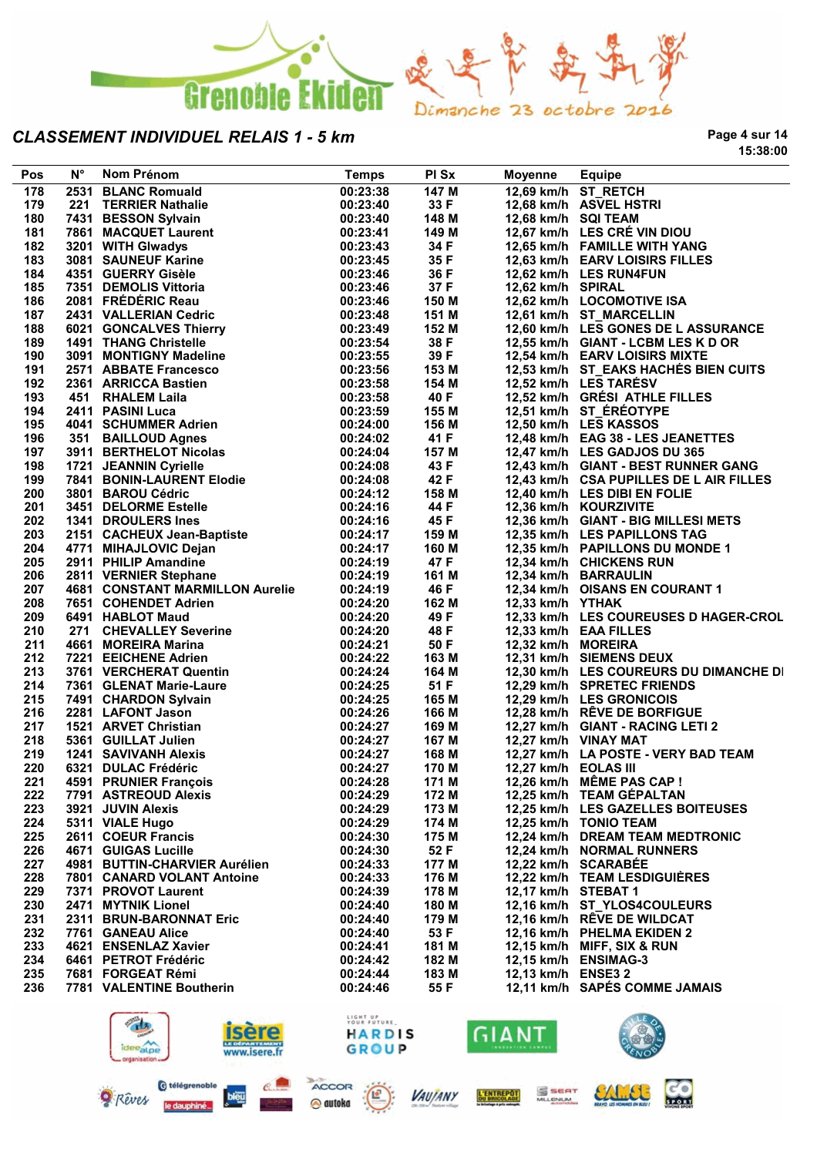

**Page 4 sur 14 15:38:00**

| Pos | $N^{\circ}$ | Nom Prénom                                                                                                                                  | <b>Temps</b>         | PI Sx | Moyenne              | <b>Equipe</b>                           |
|-----|-------------|---------------------------------------------------------------------------------------------------------------------------------------------|----------------------|-------|----------------------|-----------------------------------------|
| 178 |             | 2531 BLANC Romuald                                                                                                                          | 00:23:38             | 147 M |                      | 12,69 km/h ST RETCH                     |
| 179 |             | 221 TERRIER Nathalie                                                                                                                        | 00:23:40             | 33 F  |                      | 12,68 km/h ASVEL HSTRI                  |
| 180 |             | 7431 BESSON Sylvain                                                                                                                         | 00:23:40             | 148 M | 12,68 km/h SQI TEAM  |                                         |
| 181 |             | 7861 MACQUET Laurent                                                                                                                        | 00:23:41             | 149 M |                      | 12,67 km/h LES CRÉ VIN DIOU             |
| 182 |             | 3201 WITH Glwadys                                                                                                                           | 00:23:43             | 34 F  |                      | 12,65 km/h FAMILLE WITH YANG            |
| 183 |             | 3201   WITH Glwadys<br>3081   SAUNEUF Karine                                                                                                | 00:23:45             | 35 F  |                      | 12,63 km/h EARV LOISIRS FILLES          |
| 184 |             | 4351 GUERRY Gisèle                                                                                                                          | 00:23:46             | 36 F  |                      | 12,62 km/h LES RUN4FUN                  |
| 185 |             | 7351 DEMOLIS Vittoria                                                                                                                       | 00:23:46             | 37 F  | 12,62 km/h SPIRAL    |                                         |
| 186 |             | 2081 FRÉDÉRIC Reau                                                                                                                          | 00:23:46             | 150 M |                      | 12,62 km/h LOCOMOTIVE ISA               |
| 187 |             |                                                                                                                                             |                      | 151 M |                      | 12,61 km/h ST_MARCELLIN                 |
| 188 |             | 2431 VALLERIAN Cedric                                                                                                                       | 00:23:48<br>00:23:49 | 152 M |                      | 12,60 km/h LES GONES DE L ASSURANCE     |
|     |             | 2431 VALLENING SUBDER<br>6021 GONCALVES Thierry                                                                                             |                      | 38 F  |                      | 12,55 km/h GIANT - LCBM LES K D OR      |
| 189 |             |                                                                                                                                             | 00:23:54             |       |                      |                                         |
| 190 |             | 3091 MONTIGNY Madeline                                                                                                                      | 00:23:55             | 39 F  |                      | 12,54 km/h EARV LOISIRS MIXTE           |
| 191 |             | 2571 ABBATE Francesco                                                                                                                       | 00:23:56             | 153 M |                      | 12,53 km/h ST_EAKS HACHES BIEN CUITS    |
| 192 |             | 2361 ARRICCA Bastien                                                                                                                        | 00:23:58             | 154 M |                      | 12,52 km/h LES TARÉSV                   |
| 193 |             | 451 RHALEM Laila                                                                                                                            | 00:23:58             | 40 F  |                      | 12,52 km/h GRÉSI ATHLE FILLES           |
| 194 |             | 2411 PASINI Luca<br>2411   PASINI Luca<br>4041   SCHUMMER Adrien                                                                            | 00:23:59             | 155 M |                      | 12,51 km/h ST_ÉRÉOTYPE                  |
| 195 |             |                                                                                                                                             | 00:24:00             | 156 M |                      | 12,50 km/h LES KASSOS                   |
| 196 |             | 351 BAILLOUD Agnes                                                                                                                          | 00:24:02             | 41 F  |                      | 12,48 km/h EAG 38 - LES JEANETTES       |
| 197 |             | 3911 BERTHELOT Nicolas<br>1721 JEANNIN Cyrielle<br>7841 BONIN-LAURENT Elodie                                                                | 00:24:04             | 157 M |                      | 12,47 km/h LES GADJOS DU 365            |
| 198 |             |                                                                                                                                             | 00:24:08             | 43 F  |                      | 12,43 km/h GIANT - BEST RUNNER GANG     |
| 199 |             |                                                                                                                                             | 00:24:08             | 42 F  |                      | 12,43 km/h CSA PUPILLES DE L AIR FILLES |
| 200 |             | 3801 BAROU Cédric                                                                                                                           | 00:24:12             | 158 M |                      | 12,40 km/h LES DIBI EN FOLIE            |
| 201 |             | 3451 DELORME Estelle                                                                                                                        | 00:24:16             | 44 F  |                      | 12,36 km/h KOURZIVITE                   |
| 202 |             | 1341 DROULERS Ines                                                                                                                          | 00:24:16             | 45 F  |                      | 12,36 km/h GIANT - BIG MILLESI METS     |
| 203 |             |                                                                                                                                             | 00:24:17             | 159 M |                      | 12,35 km/h LES PAPILLONS TAG            |
| 204 |             | 2151 CACHEUX Jean-Baptiste<br>4771 MIHAJLOVIC Dejan                                                                                         | 00:24:17             | 160 M |                      | 12,35 km/h PAPILLONS DU MONDE 1         |
| 205 |             | 2911 PHILIP Amandine                                                                                                                        | 00:24:19             | 47 F  |                      | 12,34 km/h CHICKENS RUN                 |
| 206 |             | 2811 VERNIER Stephane                                                                                                                       | 00:24:19             | 161 M |                      | 12,34 km/h BARRAULIN                    |
| 207 |             | <b>4681 CONSTANT MARMILLON Aurelie</b>                                                                                                      | 00:24:19             | 46 F  |                      | 12,34 km/h OISANS EN COURANT 1          |
| 208 |             | 7651 COHENDET Adrien                                                                                                                        | 00:24:20             | 162 M | 12,33 km/h YTHAK     |                                         |
| 209 |             | 6491 HABLOT Maud                                                                                                                            | 00:24:20             | 49 F  |                      | 12,33 km/h LES COUREUSES D HAGER-CROL   |
| 210 |             | 271 CHEVALLEY Severine                                                                                                                      | 00:24:20             | 48 F  |                      | 12,33 km/h EAA FILLES                   |
| 211 |             | 4661 MOREIRA Marina                                                                                                                         | 00:24:21             | 50 F  | 12,32 km/h MOREIRA   |                                         |
| 212 |             | 7221 EEICHENE Adrien                                                                                                                        | 00:24:22             | 163 M |                      | 12,31 km/h SIEMENS DEUX                 |
| 213 |             | 3761 VERCHERAT Quentin                                                                                                                      | 00:24:24             | 164 M |                      | 12,30 km/h LES COUREURS DU DIMANCHE DI  |
| 214 |             |                                                                                                                                             | 00:24:25             | 51 F  |                      | 12,29 km/h SPRETEC FRIENDS              |
| 215 |             |                                                                                                                                             | 00:24:25             | 165 M |                      | 12,29 km/h LES GRONICOIS                |
| 216 |             |                                                                                                                                             | 00:24:26             | 166 M |                      | 12,28 km/h RÊVE DE BORFIGUE             |
| 217 |             |                                                                                                                                             | 00:24:27             | 169 M |                      | 12,27 km/h GIANT - RACING LETI 2        |
| 218 |             |                                                                                                                                             | 00:24:27             | 167 M |                      | 12,27 km/h VINAY MAT                    |
| 219 |             | 7361 GLENAT Marie-Laure<br>7491 CHARDON Sylvain<br>2281 LAFONT Jason<br>1521 ARVET Christian<br>5361 GUILLAT Julien<br>1241 SAVIVANH Alexis | 00:24:27             | 168 M |                      | 12,27 km/h LA POSTE - VERY BAD TEAM     |
| 220 |             | 6321 DULAC Frédéric                                                                                                                         | 00:24:27             | 170 M | 12,27 km/h EOLAS III |                                         |
| 221 |             | 4591 PRUNIER François                                                                                                                       | 00:24:28             | 171 M |                      | 12,26 km/h MÊME PAS CAP !               |
| 222 |             | 7791 ASTREOUD Alexis                                                                                                                        | 00:24:29             | 172 M |                      | 12,25 km/h TEAM GÉPALTAN                |
| 223 |             | 3921 JUVIN Alexis                                                                                                                           | 00:24:29             | 173 M |                      | 12,25 km/h LES GAZELLES BOITEUSES       |
| 224 |             | 5311 VIALE Hugo                                                                                                                             | 00:24:29             | 174 M |                      | 12,25 km/h TONIO TEAM                   |
| 225 |             | 2611 COEUR Francis                                                                                                                          | 00:24:30             | 175 M |                      | 12,24 km/h DREAM TEAM MEDTRONIC         |
| 226 |             | <b>4671 GUIGAS Lucille</b>                                                                                                                  | 00:24:30             | 52 F  |                      | 12.24 km/h NORMAL RUNNERS               |
| 227 |             | 4981 BUTTIN-CHARVIER Aurélien                                                                                                               | 00:24:33             | 177 M |                      | 12,22 km/h SCARABÉE                     |
| 228 |             | 7801 CANARD VOLANT Antoine                                                                                                                  | 00:24:33             | 176 M |                      | 12,22 km/h TEAM LESDIGUIÈRES            |
| 229 |             | 7371 PROVOT Laurent                                                                                                                         | 00:24:39             | 178 M | 12,17 km/h STEBAT 1  |                                         |
| 230 |             | 2471 MYTNIK Lionel                                                                                                                          | 00:24:40             | 180 M |                      | 12,16 km/h ST YLOS4COULEURS             |
| 231 |             | 2311 BRUN-BARONNAT Eric                                                                                                                     | 00:24:40             | 179 M |                      | 12,16 km/h RÊVE DE WILDCAT              |
| 232 |             | 7761 GANEAU Alice                                                                                                                           | 00:24:40             | 53 F  |                      | 12.16 km/h PHELMA EKIDEN 2              |
| 233 |             | 4621 ENSENLAZ Xavier                                                                                                                        | 00:24:41             | 181 M |                      | 12,15 km/h MIFF, SIX & RUN              |
| 234 |             | 6461 PETROT Frédéric                                                                                                                        | 00:24:42             | 182 M |                      | 12,15 km/h ENSIMAG-3                    |
| 235 |             | 7681 FORGEAT Rémi                                                                                                                           | 00:24:44             | 183 M | 12,13 km/h ENSE3 2   |                                         |
| 236 |             | 7781 VALENTINE Boutherin                                                                                                                    | 00:24:46             | 55 F  |                      | 12,11 km/h SAPÉS COMME JAMAIS           |
|     |             |                                                                                                                                             |                      |       |                      |                                         |





bleu

Rêves

le daup

**VAUJANY** 

L'ENTREPOT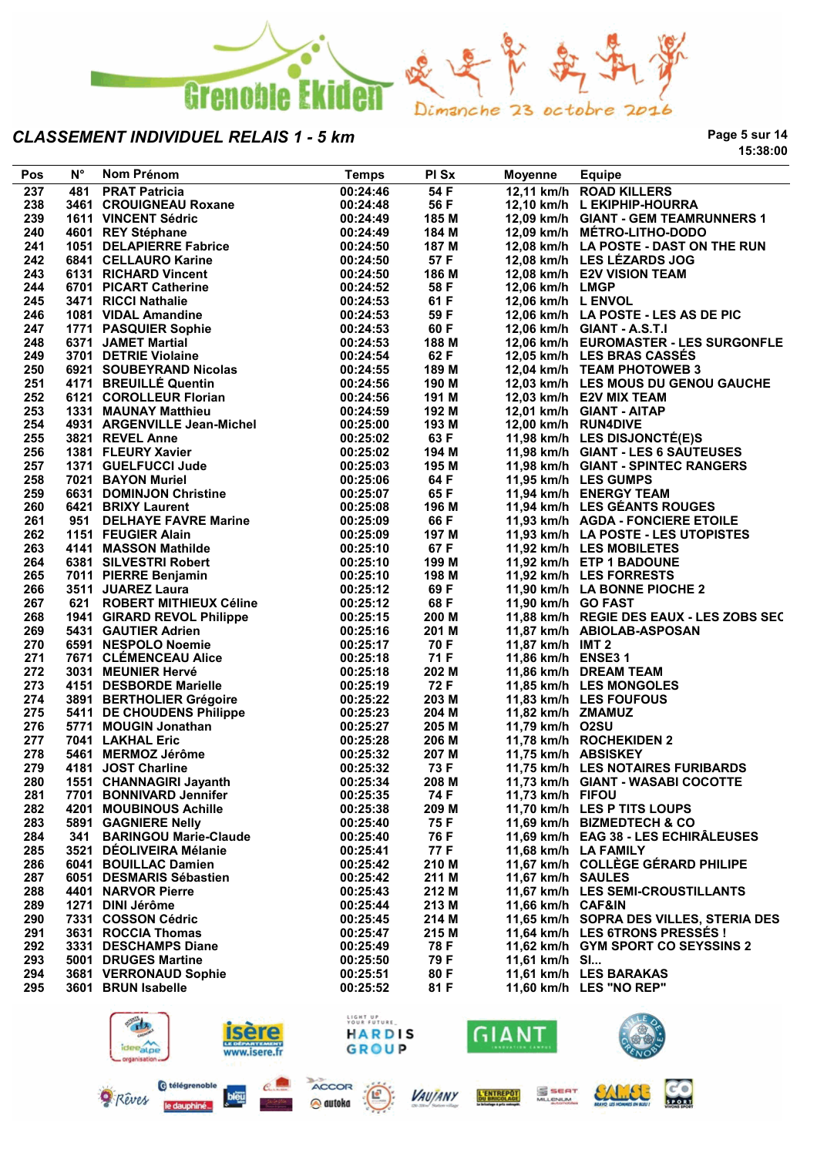

**Page 5 sur 14 15:38:00**

| Pos | $N^{\circ}$ | Nom Prénom                                                                                                                                   | <b>Temps</b>            | PI Sx | Moyenne                 | <b>Equipe</b>                            |
|-----|-------------|----------------------------------------------------------------------------------------------------------------------------------------------|-------------------------|-------|-------------------------|------------------------------------------|
| 237 |             | 481 PRAT Patricia                                                                                                                            | 00:24:46                | 54F   |                         | 12,11 km/h ROAD KILLERS                  |
| 238 |             | 3461 CROUIGNEAU Roxane                                                                                                                       | 00:24:48                | 56 F  |                         | 12,10 km/h L EKIPHIP-HOURRA              |
| 239 |             | 1611 VINCENT Sédric                                                                                                                          | 00:24:49                | 185 M |                         | 12,09 km/h GIANT - GEM TEAMRUNNERS 1     |
| 240 |             | 1911 VINSENT SUB-1-2<br>1951 DELAPIERRE Fabrice                                                                                              | 00:24:49                | 184 M |                         | 12,09 km/h MÉTRO-LITHO-DODO              |
| 241 |             |                                                                                                                                              | 00:24:50                | 187 M |                         | 12,08 km/h LA POSTE - DAST ON THE RUN    |
| 242 |             | 6841 CELLAURO Karine<br>6131 RICHARD Vincent                                                                                                 | 00:24:50                | 57 F  |                         | 12,08 km/h LES LÉZARDS JOG               |
| 243 |             |                                                                                                                                              | 00:24:50                | 186 M |                         | 12,08 km/h E2V VISION TEAM               |
| 244 |             | 6701 PICART Catherine<br>3471 RICCI Nathalie                                                                                                 | 00:24:52                | 58 F  | 12,06 km/h LMGP         |                                          |
| 245 |             |                                                                                                                                              | 00:24:52<br>00:24:53    | 61 F  | 12,06 km/h L ENVOL      |                                          |
| 246 |             | 1081 VIDAL Amandine                                                                                                                          | 00:24:53                | 59 F  |                         | 12,06 km/h LA POSTE - LES AS DE PIC      |
| 247 |             |                                                                                                                                              | 00:24:53                | 60 F  |                         | 12,06 km/h GIANT - A.S.T.I               |
| 248 |             |                                                                                                                                              | 00:24:53                | 188 M |                         | 12,06 km/h EUROMASTER - LES SURGONFLE    |
| 249 |             |                                                                                                                                              | 00:24:54                | 62 F  |                         | 12,05 km/h LES BRAS CASSÉS               |
| 250 |             | 1081 VIDAL Amanume<br>1771 PASQUIER Sophie<br>6371 JAMET Martial<br>3701 DETRIE Violaine<br>6921 SOUBEYRAND Nicolas<br>4171 BREUILLÉ Quentin | 00:24:55                | 189 M |                         | 12,04 km/h TEAM PHOTOWEB 3               |
| 251 |             |                                                                                                                                              | 00:24:56                | 190 M |                         | 12,03 km/h LES MOUS DU GENOU GAUCHE      |
| 252 |             | 6121 COROLLEUR Florian                                                                                                                       | 00:24:56                | 191 M | 12,03 km/h E2V MIX TEAM |                                          |
| 253 |             |                                                                                                                                              | 00:24:59                | 192 M |                         | 12,01 km/h GIANT - AITAP                 |
| 254 |             | 1331 MAUNAY Matthieu<br>4931 ARGENVILLE Jean-Michel                                                                                          | 00:25:00                | 193 M | 12,00 km/h RUN4DIVE     |                                          |
| 255 |             | 3821 REVEL Anne                                                                                                                              | 00:25:02                | 63 F  |                         | 11,98 km/h LES DISJONCTÉ(E)S             |
| 256 |             | 1381 FLEURY Xavier                                                                                                                           | 00:25:02                | 194 M |                         | 11,98 km/h GIANT - LES 6 SAUTEUSES       |
| 257 |             | 1371 GUELFUCCI Jude                                                                                                                          | 00:25:03                | 195 M |                         | 11,98 km/h GIANT - SPINTEC RANGERS       |
| 258 |             | 7021 BAYON Muriel                                                                                                                            | 00:25:06                | 64 F  |                         | 11,95 km/h LES GUMPS                     |
| 259 |             | 6631 DOMINJON Christine                                                                                                                      | 00:25:07                | 65 F  |                         | 11,94 km/h ENERGY TEAM                   |
| 260 |             | 6421 BRIXY Laurent                                                                                                                           | 00:25:08                | 196 M |                         | 11,94 km/h LES GÉANTS ROUGES             |
| 261 |             | 6421   BRIXY Laurent<br>951    DELHAYE FAVRE Marine                                                                                          | 00:25:09                | 66 F  |                         | 11,93 km/h AGDA - FONCIERE ETOILE        |
| 262 |             | 1151 FEUGIER Alain                                                                                                                           | 00:25:09                | 197 M |                         | 11,93 km/h LA POSTE - LES UTOPISTES      |
| 263 |             | 4141 MASSON Mathilde                                                                                                                         | 00:25:10                | 67 F  |                         | 11,92 km/h LES MOBILETES                 |
| 264 |             | 6381 SILVESTRI Robert                                                                                                                        | 00:25:10                | 199 M |                         | 11,92 km/h ETP 1 BADOUNE                 |
| 265 |             | 7011 PIERRE Benjamin                                                                                                                         | 00:25:10                | 198 M |                         | 11,92 km/h LES FORRESTS                  |
| 266 |             | 3511 JUAREZ Laura                                                                                                                            | 00:25:12                | 69 F  |                         | 11,90 km/h LA BONNE PIOCHE 2             |
| 267 |             | 621 ROBERT MITHIEUX Céline                                                                                                                   | 00:25:12                | 68 F  | 11,90 km/h GO FAST      |                                          |
| 268 |             | 1941   GIRARD REVOL Philippe<br>5431   GAUTIER Adrien                                                                                        | 00:25:15                | 200 M |                         | 11,88 km/h REGIE DES EAUX - LES ZOBS SEC |
| 269 |             | 5431 GAUTIER Adrien                                                                                                                          | 00:25:16                | 201 M |                         | 11,87 km/h ABIOLAB-ASPOSAN               |
| 270 |             | 6591 NESPOLO Noemie                                                                                                                          | 00:25:17                | 70 F  | 11,87 km/h IMT 2        |                                          |
| 271 |             | 7671 CLÉMENCEAU Alice                                                                                                                        | 00:25:18                | 71 F  | 11,86 km/h ENSE3 1      |                                          |
| 272 |             | 3031 MEUNIER Hervé                                                                                                                           | 00:25:18                | 202 M |                         | 11,86 km/h DREAM TEAM                    |
| 273 |             | 4151 DESBORDE Marielle                                                                                                                       | 00:25:19                | 72 F  |                         | 11,85 km/h LES MONGOLES                  |
| 274 |             |                                                                                                                                              | 00:25:22                | 203 M |                         | 11,83 km/h LES FOUFOUS                   |
| 275 |             |                                                                                                                                              | 00:25:23                | 204 M | 11,82 km/h ZMAMUZ       |                                          |
| 276 |             | 3891 BERTHOLIER Grégoire<br>5411 DE CHOUDENS Philippe<br>5771 MOUGIN Jonathan                                                                | 00:25:27                | 205 M | 11,79 km/h O2SU         |                                          |
| 277 |             | 7041 LAKHAL Eric                                                                                                                             | 00:25:28                | 206 M |                         | 11,78 km/h ROCHEKIDEN 2                  |
| 278 |             | 5461 MERMOZ Jérôme                                                                                                                           | 00:25:32                | 207 M | 11,75 km/h ABSISKEY     |                                          |
| 279 |             | 4181 JOST Charline                                                                                                                           | 00:25:32                | 73 F  |                         | 11,75 km/h LES NOTAIRES FURIBARDS        |
| 280 |             | 1551 CHANNAGIRI Jayanth                                                                                                                      | 00:25:34                | 208 M |                         | 11,73 km/h GIANT - WASABI COCOTTE        |
| 281 |             | 7701 BONNIVARD Jennifer                                                                                                                      | 00:25:35                | 74 F  | 11,73 km/h FIFOU        |                                          |
| 282 |             | 4201 MOUBINOUS Achille                                                                                                                       | 00:25:38                | 209 M |                         | 11,70 km/h LES P TITS LOUPS              |
| 283 |             | 5891 GAGNIERE Nelly                                                                                                                          | 00:25:40                | 75 F  |                         | 11,69 km/h BIZMEDTECH & CO               |
| 284 |             | 341 BARINGOU Marie-Claude                                                                                                                    | 00:25:40                | 76 F  |                         | 11,69 km/h EAG 38 - LES ECHIRALEUSES     |
| 285 |             | 3521 DÉOLIVEIRA Mélanie                                                                                                                      | 00:25:41                | 77 F  |                         | 11,68 km/h LA FAMILY                     |
| 286 |             | 6041 BOUILLAC Damien                                                                                                                         | 00:25:42                | 210 M |                         | 11,67 km/h COLLÈGE GÉRARD PHILIPE        |
| 287 |             | 6051 DESMARIS Sébastien                                                                                                                      | 00:25:42                | 211 M | 11,67 km/h SAULES       |                                          |
| 288 |             | 4401 NARVOR Pierre                                                                                                                           | 00:25:43                | 212 M |                         | 11,67 km/h LES SEMI-CROUSTILLANTS        |
| 289 |             | 1271 DINI Jérôme                                                                                                                             | 00:25:44                | 213 M | 11,66 km/h CAF&IN       |                                          |
| 290 |             | 7331 COSSON Cédric                                                                                                                           | 00:25:45                | 214 M |                         | 11,65 km/h SOPRA DES VILLES, STERIA DES  |
| 291 |             | 3631 ROCCIA Thomas                                                                                                                           | 00:25:47                | 215 M |                         | 11,64 km/h LES 6TRONS PRESSÉS !          |
| 292 |             | 3331 DESCHAMPS Diane                                                                                                                         | 00:25:49                | 78 F  |                         | 11,62 km/h GYM SPORT CO SEYSSINS 2       |
| 293 |             | 5001 DRUGES Martine                                                                                                                          | 00:25:50                | 79 F  | 11,61 km/h SI           |                                          |
| 294 |             | 3681 VERRONAUD Sophie                                                                                                                        | 00:25:51                | 80 F  |                         | 11,61 km/h LES BARAKAS                   |
| 295 |             | 3601 BRUN Isabelle                                                                                                                           | 00:25:52                | 81 F  |                         | 11,60 km/h LES "NO REP"                  |
|     |             |                                                                                                                                              |                         |       |                         |                                          |
|     |             | $\mathbb{Z}$                                                                                                                                 | LIGHT UP<br>YOUR FUTURE |       |                         | ULE O                                    |
|     |             |                                                                                                                                              |                         |       |                         |                                          |



le daup

**R**eves

bleu



**VAUJANY** 

ACCOR

@ autoka



L'ENTREPOT

S SEAT



SALLEL

**CO**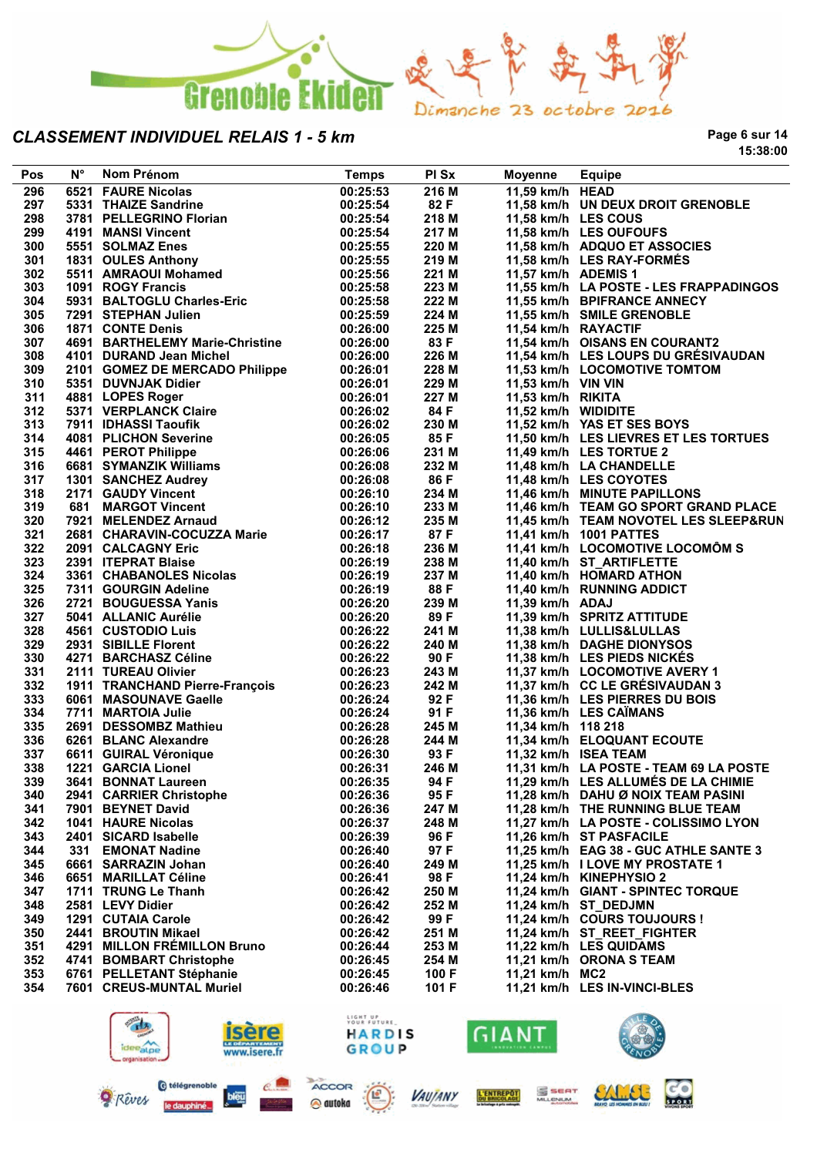

**Page 6 sur 14 15:38:00**

**CO** 

| Pos | $N^{\circ}$ | Nom Prénom                                                            | <b>Temps</b> | PI Sx | <b>Moyenne</b>      | Equipe                                 |
|-----|-------------|-----------------------------------------------------------------------|--------------|-------|---------------------|----------------------------------------|
| 296 |             | 6521 FAURE Nicolas                                                    | 00:25:53     | 216 M | 11,59 km/h HEAD     |                                        |
| 297 |             | 5331 THAIZE Sandrine                                                  | 00:25:54     | 82 F  |                     | 11,58 km/h UN DEUX DROIT GRENOBLE      |
| 298 |             | 3781 PELLEGRINO Florian                                               | 00:25:54     | 218 M | 11,58 km/h LES COUS |                                        |
| 299 |             | 4191 MANSI Vincent                                                    | 00:25:54     | 217 M |                     | 11,58 km/h LES OUFOUFS                 |
| 300 |             | 5551 SOLMAZ Enes                                                      | 00:25:55     | 220 M |                     | 11,58 km/h ADQUO ET ASSOCIES           |
| 301 |             | 1831 OULES Anthony                                                    | 00:25:55     | 219 M |                     | 11,58 km/h LES RAY-FORMÉS              |
| 302 |             | 5511 AMRAOUI Mohamed                                                  | 00:25:56     | 221 M | 11,57 km/h ADEMIS 1 |                                        |
| 303 |             | 1091 ROGY Francis                                                     | 00:25:58     | 223 M |                     | 11,55 km/h LA POSTE - LES FRAPPADINGOS |
| 304 |             | 5931 BALTOGLU Charles-Eric                                            | 00:25:58     | 222 M |                     | 11,55 km/h BPIFRANCE ANNECY            |
| 305 |             | 7291 STEPHAN Julien                                                   | 00:25:59     | 224 M |                     | 11,55 km/h SMILE GRENOBLE              |
| 306 |             | 1871 CONTE Denis                                                      | 00:26:00     | 225 M | 11,54 km/h RAYACTIF |                                        |
| 307 |             | 4691 BARTHELEMY Marie-Christine                                       | 00:26:00     | 83 F  |                     | 11,54 km/h OISANS EN COURANT2          |
| 308 |             | 4101 DURAND Jean Michel                                               | 00:26:00     | 226 M |                     | 11,54 km/h LES LOUPS DU GRÉSIVAUDAN    |
| 309 |             | 2101 GOMEZ DE MERCADO Philippe                                        | 00:26:01     | 228 M |                     | 11,53 km/h LOCOMOTIVE TOMTOM           |
| 310 |             | 5351 DUVNJAK Didier                                                   | 00:26:01     | 229 M | 11,53 km/h VIN VIN  |                                        |
| 311 |             | 4881 LOPES Roger                                                      | 00:26:01     | 227 M | 11,53 km/h RIKITA   |                                        |
| 312 |             | 5371 VERPLANCK Claire                                                 | 00:26:02     | 84 F  | 11,52 km/h WIDIDITE |                                        |
| 313 |             | 7911 IDHASSI Taoufik                                                  | 00:26:02     | 230 M |                     | 11,52 km/h YAS ET SES BOYS             |
| 314 |             | 4081 PLICHON Severine                                                 | 00:26:05     | 85 F  |                     | 11,50 km/h LES LIEVRES ET LES TORTUES  |
| 315 |             | 4461 PEROT Philippe                                                   | 00:26:06     | 231 M |                     | 11,49 km/h LES TORTUE 2                |
| 316 |             |                                                                       | 00:26:08     | 232 M |                     | 11,48 km/h LA CHANDELLE                |
| 317 |             |                                                                       | 00:26:08     | 86 F  |                     | 11,48 km/h LES COYOTES                 |
| 318 |             | 4461 - CYMANZIK Williams<br>1301 SANCHEZ Audrey<br>2171 GAUDY Vincent | 00:26:10     | 234 M |                     | 11,46 km/h MINUTE PAPILLONS            |
| 319 |             |                                                                       | 00:26:10     | 233 M |                     | 11,46 km/h TEAM GO SPORT GRAND PLACE   |
| 320 |             | 7921 MELENDEZ Arnaud                                                  | 00:26:12     | 235 M |                     | 11,45 km/h TEAM NOVOTEL LES SLEEP&RUN  |
| 321 |             | 2681 CHARAVIN-COCUZZA Marie                                           | 00:26:17     | 87 F  |                     | 11,41 km/h 1001 PATTES                 |
| 322 |             | 2091 CALCAGNY Eric                                                    | 00:26:18     | 236 M |                     | 11,41 km/h LOCOMOTIVE LOCOMÔM S        |
| 323 |             | 2391 ITEPRAT Blaise                                                   | 00:26:19     | 238 M |                     | 11,40 km/h ST_ARTIFLETTE               |
| 324 |             | 3361 CHABANOLES Nicolas                                               | 00:26:19     | 237 M |                     | 11,40 km/h HOMARD ATHON                |
| 325 |             | 7311 GOURGIN Adeline                                                  | 00:26:19     | 88 F  |                     | 11,40 km/h RUNNING ADDICT              |
| 326 |             | 2721 BOUGUESSA Yanis                                                  | 00:26:20     | 239 M | 11,39 km/h ADAJ     |                                        |
| 327 |             | 5041 ALLANIC Aurélie                                                  | 00:26:20     | 89 F  |                     | 11,39 km/h SPRITZ ATTITUDE             |
| 328 |             | 4561 CUSTODIO Luis                                                    | 00:26:22     | 241 M |                     | 11,38 km/h LULLIS&LULLAS               |
| 329 |             | 2931 SIBILLE Florent                                                  | 00:26:22     | 240 M |                     | 11,38 km/h DAGHE DIONYSOS              |
| 330 |             | 4271 BARCHASZ Céline                                                  | 00:26:22     | 90 F  |                     | 11,38 km/h LES PIEDS NICKES            |
| 331 |             | 2111 TUREAU Olivier                                                   | 00:26:23     | 243 M |                     | 11,37 km/h LOCOMOTIVE AVERY 1          |
| 332 |             | 1911 TRANCHAND Pierre-François                                        | 00:26:23     | 242 M |                     | 11,37 km/h CC LE GRÉSIVAUDAN 3         |
| 333 |             | 6061 MASOUNAVE Gaelle                                                 | 00:26:24     | 92 F  |                     | 11,36 km/h LES PIERRES DU BOIS         |
| 334 |             | 7711 MARTOIA Julie                                                    | 00:26:24     | 91 F  |                     | 11,36 km/h LES CAÏMANS                 |
| 335 |             | 2691 DESSOMBZ Mathieu                                                 | 00:26:28     | 245 M | 11,34 km/h 118 218  |                                        |
| 336 |             | 6261 BLANC Alexandre                                                  | 00:26:28     | 244 M |                     | 11,34 km/h ELOQUANT ECOUTE             |
| 337 |             | 6611 GUIRAL Véronique                                                 | 00:26:30     | 93 F  |                     | 11,32 km/h ISEA TEAM                   |
| 338 |             | 1221 GARCIA Lionel                                                    | 00:26:31     | 246 M |                     | 11,31 km/h LA POSTE - TEAM 69 LA POSTE |
| 339 |             | 3641 BONNAT Laureen                                                   | 00:26:35     | 94 F  |                     | 11,29 km/h LES ALLUMÉS DE LA CHIMIE    |
| 340 |             | 2941 CARRIER Christophe                                               | 00:26:36     | 95 F  |                     | 11,28 km/h DAHU Ø NOIX TEAM PASINI     |
| 341 |             | 7901 BEYNET David                                                     | 00:26:36     | 247 M |                     | 11,28 km/h THE RUNNING BLUE TEAM       |
| 342 |             | <b>1041 HAURE Nicolas</b>                                             | 00:26:37     | 248 M |                     | 11,27 km/h LA POSTE - COLISSIMO LYON   |
| 343 |             | 2401 SICARD Isabelle                                                  | 00:26:39     | 96 F  |                     | 11,26 km/h ST PASFACILE                |
| 344 | 331         | <b>EMONAT Nadine</b>                                                  | 00:26:40     | 97 F  |                     | 11,25 km/h EAG 38 - GUC ATHLE SANTE 3  |
| 345 |             | 6661 SARRAZIN Johan                                                   | 00:26:40     | 249 M |                     | 11,25 km/h I LOVE MY PROSTATE 1        |
| 346 |             | 6651 MARILLAT Céline                                                  | 00:26:41     | 98 F  |                     | 11,24 km/h KINEPHYSIO 2                |
| 347 |             | 1711 TRUNG Le Thanh                                                   | 00:26:42     | 250 M |                     | 11,24 km/h GIANT - SPINTEC TORQUE      |
| 348 |             | 2581 LEVY Didier                                                      | 00:26:42     | 252 M |                     | 11,24 km/h ST DEDJMN                   |
| 349 |             | 1291 CUTAIA Carole                                                    | 00:26:42     | 99 F  |                     | 11.24 km/h COURS TOUJOURS !            |
| 350 |             | 2441 BROUTIN Mikael                                                   | 00:26:42     | 251 M |                     | 11,24 km/h ST_REET_FIGHTER             |
| 351 |             | 4291 MILLON FREMILLON Bruno                                           | 00:26:44     | 253 M |                     | 11,22 km/h LES QUIDAMS                 |
| 352 |             | 4741 BOMBART Christophe                                               | 00:26:45     | 254 M |                     | 11,21 km/h ORONA S TEAM                |
| 353 |             | 6761 PELLETANT Stéphanie                                              | 00:26:45     | 100 F | 11,21 km/h MC2      |                                        |
| 354 |             | 7601 CREUS-MUNTAL Muriel                                              | 00:26:46     | 101 F |                     | 11,21 km/h LES IN-VINCI-BLES           |
|     |             |                                                                       |              |       |                     |                                        |
|     |             | $\sqrt{2}$                                                            | LIGHT UP     |       |                     | LLE A                                  |

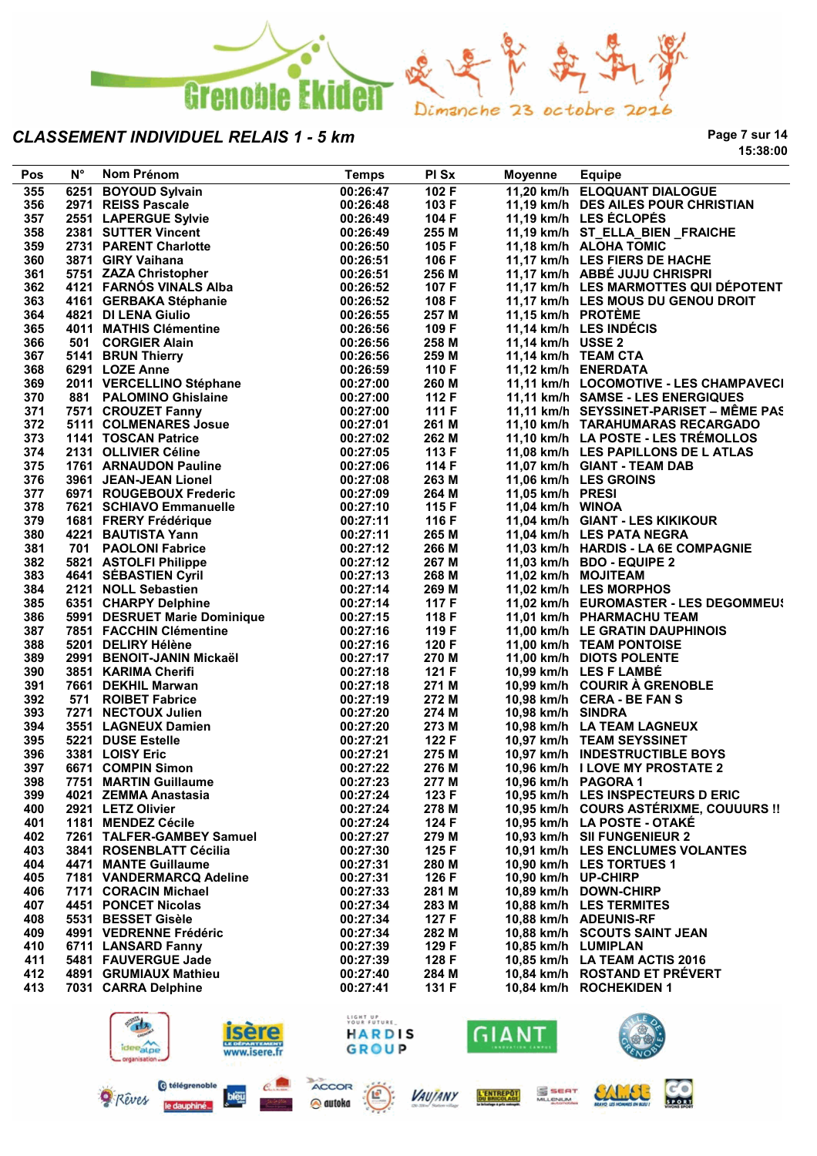

**Page 7 sur 14 15:38:00**

| Pos        | $N^{\circ}$ | Nom Prénom                                                               | <b>Temps</b>            | PI Sx          | Moyenne             | <b>Equipe</b>                           |
|------------|-------------|--------------------------------------------------------------------------|-------------------------|----------------|---------------------|-----------------------------------------|
| 355        |             | 6251 BOYOUD Sylvain                                                      | 00:26:47                | 102 F          |                     | 11,20 km/h ELOQUANT DIALOGUE            |
| 356        |             | 2971 REISS Pascale                                                       | 00:26:48                | 103 F          |                     | 11,19 km/h DES AILES POUR CHRISTIAN     |
| 357        |             | 2971 REIOUT NOONG<br>2551 LAPERGUE Sylvie                                | 00:26:49                | 104 F          |                     | 11,19 km/h LES ÉCLOPÉS                  |
| 358        |             | 2381 SUTTER Vincent                                                      | 00:26:49                | 255 M          |                     | 11,19 km/h ST_ELLA_BIEN _FRAICHE        |
| 359        |             | 2731 PARENT Charlotte                                                    | 00:26:50                | 105 F          |                     | 11,18 km/h ALOHA TOMIC                  |
| 360        |             | 3871 GIRY Vaihana                                                        | 00:26:51                | 106 F          |                     | 11,17 km/h LES FIERS DE HACHE           |
| 361        |             | 5751 ZAZA Christopher                                                    | 00:26:51                | 256 M          |                     | 11,17 km/h ABBÉ JUJU CHRISPRI           |
| 362        |             | 4121 FARNÓS VINALS Alba                                                  | 00:26:52                | 107 F          |                     | 11,17 km/h LES MARMOTTES QUI DÉPOTENT   |
| 363        |             | 4161 GERBAKA Stéphanie                                                   | 00:26:52                | 108 F          |                     | 11,17 km/h LES MOUS DU GENOU DROIT      |
| 364        |             | 4821 DI LENA Giulio                                                      | 00:26:55                | 257 M          | 11,15 km/h PROTÈME  |                                         |
| 365        |             | 4011 MATHIS Clémentine                                                   | 00:26:56                | 109 F          |                     | 11,14 km/h LES INDÉCIS                  |
| 366        |             | 501 CORGIER Alain                                                        | 00:26:56                | 258 M          | 11,14 km/h USSE 2   |                                         |
| 367        |             | 5141 BRUN Thierry                                                        | 00:26:56                | 259 M          |                     | 11,14 km/h TEAM CTA                     |
| 368        |             | 6291 LOZE Anne                                                           | 00:26:59                | 110 F          |                     | 11,12 km/h ENERDATA                     |
| 369        |             | 2011 VERCELLINO Stéphane<br>881 PALOMINO Ghislaine<br>7571 CROUZET Fanny | 00:27:00                | 260 M          |                     | 11,11 km/h LOCOMOTIVE - LES CHAMPAVECI  |
| 370        |             |                                                                          | 00:27:00                | 112 F          |                     | 11,11 km/h SAMSE - LES ENERGIQUES       |
| 371        |             | 7571 CROUZET Fanny                                                       | 00:27:00                | 111 F          |                     | 11,11 km/h SEYSSINET-PARISET - MÊME PAS |
| 372        |             | 5111 COLMENARES Josue                                                    | 00:27:01                | 261 M          |                     | 11,10 km/h TARAHUMARAS RECARGADO        |
| 373        |             | 1141 TOSCAN Patrice                                                      | 00:27:02                | 262 M          |                     | 11,10 km/h LA POSTE - LES TRÉMOLLOS     |
| 374        |             | 2131 OLLIVIER Céline                                                     | 00:27:05                | 113 F          |                     | 11,08 km/h LES PAPILLONS DE L ATLAS     |
| 375        |             | 1761 ARNAUDON Pauline                                                    | 00:27:06                | 114 F          |                     | 11,07 km/h GIANT - TEAM DAB             |
| 376        |             | 3961 JEAN-JEAN Lionel                                                    | 00:27:08                | 263 M          |                     | 11,06 km/h LES GROINS                   |
| 377        |             | 6971 ROUGEBOUX Frederic                                                  | 00:27:09                | 264 M          | 11,05 km/h PRESI    |                                         |
| 378<br>379 |             | 7621 SCHIAVO Emmanuelle                                                  | 00:27:10<br>00:27:11    | 115 F<br>116 F | 11,04 km/h WINOA    | 11,04 km/h GIANT - LES KIKIKOUR         |
| 380        |             | 1681 FRERY Frédérique<br>4221 BAUTISTA Yann                              | 00:27:11                | 265 M          |                     | 11,04 km/h LES PATA NEGRA               |
| 381        |             | 701 PAOLONI Fabrice                                                      | 00:27:12                | 266 M          |                     | 11,03 km/h HARDIS - LA 6E COMPAGNIE     |
| 382        |             | 5821 ASTOLFI Philippe                                                    | 00:27:12                | 267 M          |                     | 11,03 km/h BDO - EQUIPE 2               |
| 383        |             | 4641 SÉBASTIEN Cyril                                                     | 00:27:13                | 268 M          |                     | 11,02 km/h MOJITEAM                     |
| 384        |             | 2121 NOLL Sebastien                                                      | 00:27:14                | 269 M          |                     | 11,02 km/h LES MORPHOS                  |
| 385        |             | 6351 CHARPY Delphine                                                     | 00:27:14                | 117 F          |                     | 11,02 km/h EUROMASTER - LES DEGOMMEUS   |
| 386        |             |                                                                          | 00:27:15                | 118 F          |                     | 11,01 km/h PHARMACHU TEAM               |
| 387        |             | 5991 DESRUET Marie Dominique<br>7851 FACCHIN Clémentine                  | 00:27:16                | 119 F          |                     | 11,00 km/h LE GRATIN DAUPHINOIS         |
| 388        |             | 5201 DELIRY Hélène                                                       | 00:27:16                | 120 F          |                     | 11,00 km/h TEAM PONTOISE                |
| 389        |             | 2991 BENOIT-JANIN Mickaël                                                | 00:27:17                | 270 M          |                     | 11,00 km/h DIOTS POLENTE                |
| 390        |             | 3851 KARIMA Cherifi                                                      | 00:27:18                | 121 F          |                     | 10,99 km/h LES F LAMBÉ                  |
| 391        |             | 7661 DEKHIL Marwan                                                       | 00:27:18                | 271 M          |                     | 10,99 km/h COURIR À GRENOBLE            |
| 392        |             | 571 ROIBET Fabrice                                                       | 00:27:19                | 272 M          |                     | 10,98 km/h CERA - BE FAN S              |
| 393        |             |                                                                          | 00:27:20                | 274 M          | 10,98 km/h SINDRA   |                                         |
| 394        |             | 7271 NECTOUX Julien<br>3551 LAGNEUX Damien<br>5221 DUSE Estelle          | 00:27:20                | 273 M          |                     | 10,98 km/h LA TEAM LAGNEUX              |
| 395        |             |                                                                          | 00:27:21                | 122 F          |                     | 10,97 km/h TEAM SEYSSINET               |
| 396        |             | 3381 LOISY Eric                                                          | 00:27:21                | 275 M          |                     | 10,97 km/h INDESTRUCTIBLE BOYS          |
| 397        |             | 6671 COMPIN Simon                                                        | 00:27:22                | 276 M          |                     | 10,96 km/h I LOVE MY PROSTATE 2         |
| 398        |             |                                                                          | 00:27:23                | 277 M          |                     | 10,96 km/h PAGORA 1                     |
| 399        |             | 4021 ZEMMA Anastasia                                                     | 00:27:24                | 123 F          |                     | 10,95 km/h LES INSPECTEURS D ERIC       |
| 400        |             | 2921 LETZ Olivier                                                        | 00:27:24                | 278 M          |                     | 10,95 km/h COURS ASTÉRIXME, COUUURS !!  |
| 401        |             | 1181 MENDEZ Cécile                                                       | 00:27:24                | 124 F          |                     | 10,95 km/h LA POSTE - OTAKE             |
| 402        |             | 7261 TALFER-GAMBEY Samuel                                                | 00:27:27                | 279 M          |                     | 10,93 km/h SII FUNGENIEUR 2             |
| 403        |             | 3841 ROSENBLATT Cécilia                                                  | 00:27:30                | 125 F          |                     | 10,91 km/h LES ENCLUMES VOLANTES        |
| 404        |             | 4471 MANTE Guillaume                                                     | 00:27:31                | 280 M          |                     | 10.90 km/h LES TORTUES 1                |
| 405        |             | 7181 VANDERMARCQ Adeline                                                 | 00:27:31                | 126 F          | 10,90 km/h UP-CHIRP |                                         |
| 406        |             | 7171 CORACIN Michael                                                     | 00:27:33                | 281 M          |                     | 10,89 km/h DOWN-CHIRP                   |
| 407        |             | 4451 PONCET Nicolas                                                      | 00:27:34                | 283 M          |                     | 10,88 km/h LES TERMITES                 |
| 408        |             | 5531 BESSET Gisèle                                                       | 00:27:34                | 127 F          |                     | 10,88 km/h ADEUNIS-RF                   |
| 409        |             | 4991 VEDRENNE Frédéric                                                   | 00:27:34                | 282 M          |                     | 10,88 km/h SCOUTS SAINT JEAN            |
| 410        |             | 6711 LANSARD Fanny                                                       | 00:27:39                | 129 F          |                     | 10.85 km/h LUMIPLAN                     |
| 411        |             | 5481 FAUVERGUE Jade                                                      | 00:27:39                | 128 F          |                     | 10,85 km/h LA TEAM ACTIS 2016           |
| 412        |             | 4891 GRUMIAUX Mathieu                                                    | 00:27:40                | 284 M          |                     | 10,84 km/h ROSTAND ET PREVERT           |
| 413        |             | 7031 CARRA Delphine                                                      | 00:27:41                | 131 F          |                     | 10,84 km/h ROCHEKIDEN 1                 |
|            |             |                                                                          | LIGHT UP<br>YOUR FUTURE |                |                     |                                         |
|            |             | $H_{\lambda}$<br><b>Isère</b>                                            | HARDIS                  |                | GIANT               |                                         |
|            |             |                                                                          |                         |                |                     |                                         |





**VAUJANY** 



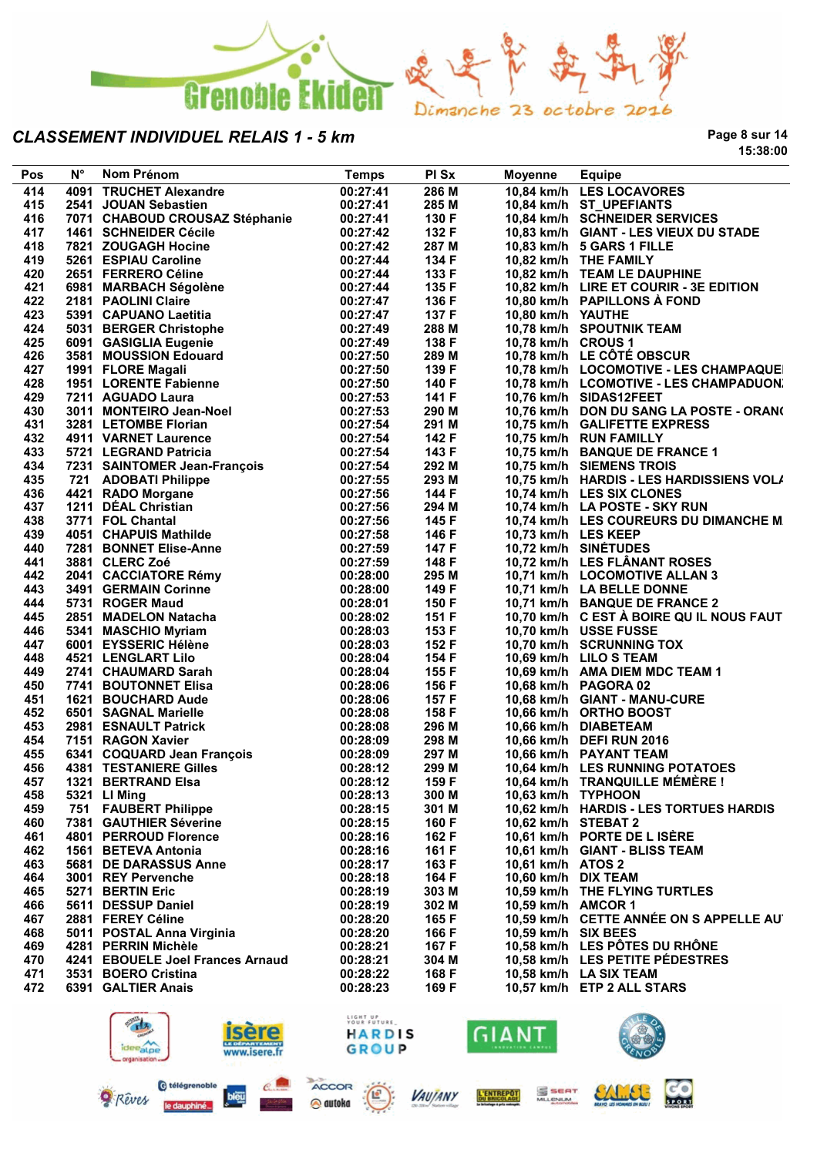

**Page 8 sur 14 15:38:00**

| Pos | $N^{\circ}$ | Nom Prénom                       | <b>Temps</b> | PI Sx | <b>Moyenne</b>      | Equipe                                   |
|-----|-------------|----------------------------------|--------------|-------|---------------------|------------------------------------------|
| 414 |             | 4091 TRUCHET Alexandre           | 00:27:41     | 286 M |                     | 10,84 km/h LES LOCAVORES                 |
| 415 |             | 2541 JOUAN Sebastien             | 00:27:41     | 285 M |                     | 10,84 km/h ST UPEFIANTS                  |
| 416 |             | 7071 CHABOUD CROUSAZ Stéphanie   | 00:27:41     | 130 F |                     | 10,84 km/h SCHNEIDER SERVICES            |
| 417 |             | 1461 SCHNEIDER Cécile            | 00:27:42     | 132 F |                     | 10,83 km/h GIANT - LES VIEUX DU STADE    |
| 418 |             | 7821 ZOUGAGH Hocine              | 00:27:42     | 287 M |                     | 10,83 km/h 5 GARS 1 FILLE                |
| 419 |             | 5261 ESPIAU Caroline             | 00:27:44     | 134 F |                     | 10,82 km/h THE FAMILY                    |
| 420 |             |                                  | 00:27:44     | 133 F |                     | 10,82 km/h TEAM LE DAUPHINE              |
|     |             | 2651 FERRERO Céline              |              |       |                     |                                          |
| 421 |             | 6981 MARBACH Ségolène            | 00:27:44     | 135 F |                     | 10,82 km/h LIRE ET COURIR - 3E EDITION   |
| 422 |             | 2181 PAOLINI Claire              | 00:27:47     | 136 F |                     | 10,80 km/h PAPILLONS À FOND              |
| 423 |             | 5391 CAPUANO Laetitia            | 00:27:47     | 137 F | 10,80 km/h YAUTHE   |                                          |
| 424 |             | 5031 BERGER Christophe           | 00:27:49     | 288 M |                     | 10,78 km/h SPOUTNIK TEAM                 |
| 425 |             | 6091 GASIGLIA Eugenie            | 00:27:49     | 138 F | 10,78 km/h CROUS 1  |                                          |
| 426 |             | 3581 MOUSSION Edouard            | 00:27:50     | 289 M |                     | 10,78 km/h LE CÔTÉ OBSCUR                |
| 427 |             | 1991 FLORE Magali                | 00:27:50     | 139 F |                     | 10,78 km/h LOCOMOTIVE - LES CHAMPAQUE    |
| 428 |             | 1951 LORENTE Fabienne            | 00:27:50     | 140 F |                     | 10.78 km/h LCOMOTIVE - LES CHAMPADUON.   |
| 429 |             | 7211 AGUADO Laura                | 00:27:53     | 141 F |                     | 10,76 km/h SIDAS12FEET                   |
| 430 |             | 3011 MONTEIRO Jean-Noel          | 00:27:53     | 290 M |                     | 10,76 km/h DON DU SANG LA POSTE - ORAN(  |
| 431 |             | 3281 LETOMBE Florian             | 00:27:54     | 291 M |                     | 10,75 km/h GALIFETTE EXPRESS             |
| 432 |             | 4911 VARNET Laurence             | 00:27:54     | 142 F |                     | 10,75 km/h RUN FAMILLY                   |
| 433 |             | 5721 LEGRAND Patricia            | 00:27:54     | 143 F |                     | 10,75 km/h BANQUE DE FRANCE 1            |
| 434 |             |                                  | 00:27:54     | 292 M |                     | 10,75 km/h SIEMENS TROIS                 |
|     |             | 7231 SAINTOMER Jean-François     |              |       |                     |                                          |
| 435 |             | 721 ADOBATI Philippe             | 00:27:55     | 293 M |                     | 10,75 km/h HARDIS - LES HARDISSIENS VOL/ |
| 436 |             | 4421 RADO Morgane                | 00:27:56     | 144 F |                     | 10,74 km/h LES SIX CLONES                |
| 437 |             | 1211 DÉAL Christian              | 00:27:56     | 294 M |                     | 10.74 km/h LA POSTE - SKY RUN            |
| 438 |             | 3771 FOL Chantal                 | 00:27:56     | 145 F |                     | 10,74 km/h LES COUREURS DU DIMANCHE M    |
| 439 |             | 4051 CHAPUIS Mathilde            | 00:27:58     | 146 F | 10,73 km/h LES KEEP |                                          |
| 440 |             | 7281 BONNET Elise-Anne           | 00:27:59     | 147 F |                     | 10,72 km/h SINÉTUDES                     |
| 441 |             | 3881 CLERC Zoé                   | 00:27:59     | 148 F |                     | 10,72 km/h LES FLÄNANT ROSES             |
| 442 |             | 2041 CACCIATORE Rémy             | 00:28:00     | 295 M |                     | 10,71 km/h LOCOMOTIVE ALLAN 3            |
| 443 |             | 3491 GERMAIN Corinne             | 00:28:00     | 149 F |                     | 10,71 km/h LA BELLE DONNE                |
| 444 |             | 5731 ROGER Maud                  | 00:28:01     | 150 F |                     | 10,71 km/h BANQUE DE FRANCE 2            |
| 445 |             | 2851 MADELON Natacha             | 00:28:02     | 151 F |                     | 10,70 km/h C EST A BOIRE QU IL NOUS FAUT |
| 446 |             | 5341 MASCHIO Myriam              | 00:28:03     | 153 F |                     | 10,70 km/h USSE FUSSE                    |
| 447 |             | 6001 EYSSERIC Hélène             | 00:28:03     | 152 F |                     | 10,70 km/h SCRUNNING TOX                 |
| 448 |             | 4521 LENGLART Lilo               | 00:28:04     | 154 F |                     | 10,69 km/h LILO S TEAM                   |
| 449 |             | 2741 CHAUMARD Sarah              | 00:28:04     | 155 F |                     | 10,69 km/h AMA DIEM MDC TEAM 1           |
|     |             |                                  |              |       |                     |                                          |
| 450 |             | 7741 BOUTONNET Elisa             | 00:28:06     | 156 F |                     | 10,68 km/h PAGORA 02                     |
| 451 |             | 1621 BOUCHARD Aude               | 00:28:06     | 157 F |                     | 10,68 km/h GIANT - MANU-CURE             |
| 452 |             | 6501 SAGNAL Marielle             | 00:28:08     | 158 F |                     | 10,66 km/h ORTHO BOOST                   |
| 453 |             | 2981 ESNAULT Patrick             | 00:28:08     | 296 M |                     | 10,66 km/h DIABETEAM                     |
| 454 |             | 7151 RAGON Xavier                | 00:28:09     | 298 M |                     | 10,66 km/h DEFI RUN 2016                 |
| 455 |             | 6341 COQUARD Jean François       | 00:28:09     | 297 M |                     | 10,66 km/h PAYANT TEAM                   |
| 456 |             | <b>4381 TESTANIERE Gilles</b>    | 00:28:12     | 299 M |                     | 10.64 km/h LES RUNNING POTATOES          |
| 457 |             | 1321 BERTRAND Elsa               | 00:28:12     | 159 F |                     | 10,64 km/h TRANQUILLE MÉMÈRE !           |
| 458 |             | 5321 LI Ming                     | 00:28:13     | 300 M | 10,63 km/h TYPHOON  |                                          |
| 459 |             | 751 FAUBERT Philippe             | 00:28:15     | 301 M |                     | 10,62 km/h HARDIS - LES TORTUES HARDIS   |
| 460 |             | 7381 GAUTHIER Séverine           | 00:28:15     | 160 F | 10,62 km/h STEBAT 2 |                                          |
| 461 |             | 4801 PERROUD Florence            | 00:28:16     | 162 F |                     | 10,61 km/h PORTE DE L ISÈRE              |
| 462 |             | 1561 BETEVA Antonia              | 00:28:16     | 161 F |                     | 10,61 km/h GIANT - BLISS TEAM            |
| 463 |             | 5681 DE DARASSUS Anne            | 00:28:17     | 163 F | 10,61 km/h ATOS 2   |                                          |
| 464 |             | 3001 REY Pervenche               | 00:28:18     | 164 F | 10,60 km/h DIX TEAM |                                          |
| 465 |             | 5271 BERTIN Eric                 | 00:28:19     | 303 M |                     | 10,59 km/h THE FLYING TURTLES            |
|     |             |                                  |              |       |                     |                                          |
| 466 |             | 5611 DESSUP Daniel               | 00:28:19     | 302 M | 10,59 km/h AMCOR 1  |                                          |
| 467 |             | 2881 FEREY Céline                | 00:28:20     | 165 F |                     | 10,59 km/h CETTE ANNÉE ON S APPELLE AU   |
| 468 |             | 5011 POSTAL Anna Virginia        | 00:28:20     | 166 F | 10,59 km/h SIX BEES |                                          |
| 469 |             | 4281 PERRIN Michèle              | 00:28:21     | 167 F |                     | 10,58 km/h LES PÔTES DU RHÔNE            |
| 470 |             | 4241 EBOUELE Joel Frances Arnaud | 00:28:21     | 304 M |                     | 10,58 km/h LES PETITE PEDESTRES          |
| 471 |             | 3531 BOERO Cristina              | 00:28:22     | 168 F |                     | 10,58 km/h LA SIX TEAM                   |
| 472 |             | 6391 GALTIER Anais               | 00:28:23     | 169 F |                     | 10,57 km/h ETP 2 ALL STARS               |
|     |             |                                  |              |       |                     |                                          |



bleu

**Q** Rêves

le daupi

 $\mathcal{C}$ 



@ autoka

LIGHT UP<br>YOUR FUTURE



L'ENTREPOT

**VAUJANY** 

S SEAT



**CO** 

EALLEE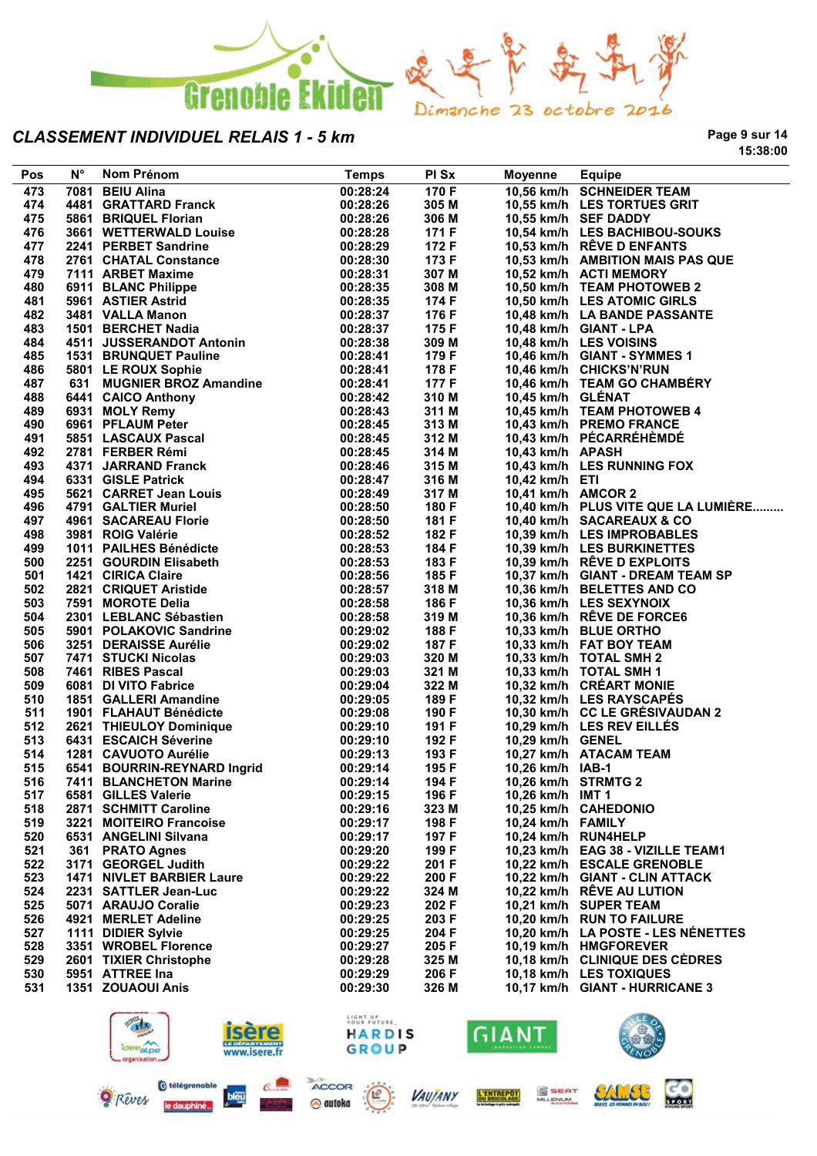

**Page 9 sur 14 15:38:00**

| Pos | $N^{\circ}$ | Nom Prénom                                                          | <b>Temps</b>            | PI Sx | <b>Moyenne</b>      | <b>Equipe</b>                       |
|-----|-------------|---------------------------------------------------------------------|-------------------------|-------|---------------------|-------------------------------------|
| 473 |             | 7081 BEIU Alina                                                     | 00:28:24                | 170 F |                     | 10,56 km/h SCHNEIDER TEAM           |
| 474 |             | 4481 GRATTARD Franck                                                | 00:28:26                | 305 M |                     | 10,55 km/h LES TORTUES GRIT         |
| 475 |             | 4401 BRIQUEL Florian<br>3661 WETTERWALD Louise                      | 00:28:26                | 306 M |                     | 10,55 km/h SEF DADDY                |
| 476 |             |                                                                     | 00:28:28                | 171 F |                     | 10,54 km/h LES BACHIBOU-SOUKS       |
| 477 |             | 2241 PERBET Sandrine                                                | 00:28:29                | 172 F |                     | 10,53 km/h RÊVE D ENFANTS           |
| 478 |             | 2761 CHATAL Constance                                               | 00:28:30                | 173 F |                     | 10,53 km/h AMBITION MAIS PAS QUE    |
| 479 |             | 7111 ARBET Maxime                                                   | 00:28:31                | 307 M |                     | 10,52 km/h ACTI MEMORY              |
| 480 |             | 6911 BLANC Philippe                                                 | 00:28:35                | 308 M |                     | 10,50 km/h TEAM PHOTOWEB 2          |
| 481 |             | 5961 ASTIER Astrid                                                  | 00:28:35                | 174 F |                     | 10,50 km/h LES ATOMIC GIRLS         |
| 482 |             | 3481 VALLA Manon                                                    | 00:28:37                | 176 F |                     | 10,48 km/h LA BANDE PASSANTE        |
| 483 |             | 1501 BERCHET Nadia                                                  | 00:28:37                | 175 F |                     | 10,48 km/h GIANT - LPA              |
| 484 |             | 4511 JUSSERANDOT Antonin                                            | 00:28:38                | 309 M |                     | 10,48 km/h LES VOISINS              |
| 485 |             | 1531 BRUNQUET Pauline                                               | 00:28:41                | 179 F |                     | 10,46 km/h GIANT - SYMMES 1         |
| 486 |             | 5801 LE ROUX Sophie                                                 | 00:28:41                | 178 F |                     | 10,46 km/h CHICKS'N'RUN             |
| 487 |             | 631 MUGNIER BROZ Amandine                                           | 00:28:41                | 177 F |                     | 10,46 km/h TEAM GO CHAMBÉRY         |
| 488 |             | 6441 CAICO Anthony                                                  | 00:28:42                | 310 M | 10,45 km/h GLÉNAT   |                                     |
| 489 |             | 6931 MOLY Remy                                                      | 00:28:43                | 311 M |                     | 10,45 km/h TEAM PHOTOWEB 4          |
| 490 |             | 6961 PFLAUM Peter                                                   | 00:28:45                | 313 M |                     | 10,43 km/h PREMO FRANCE             |
| 491 |             | 5851 LASCAUX Pascal                                                 | 00:28:45                | 312 M |                     | 10,43 km/h PÉCARRÉHÈMDÉ             |
| 492 |             | 2781 FERBER Rémi                                                    | 00:28:45                | 314 M | 10,43 km/h APASH    |                                     |
| 493 |             | 4371 JARRAND Franck                                                 | 00:28:46                | 315 M |                     | 10,43 km/h LES RUNNING FOX          |
| 494 |             | 6331 GISLE Patrick                                                  | 00:28:47                | 316 M | 10,42 km/h ETI      |                                     |
| 495 |             | 5621 CARRET Jean Louis                                              | 00:28:49                | 317 M | 10,41 km/h AMCOR 2  |                                     |
| 496 |             | 4791 GALTIER Muriel                                                 | 00:28:50                | 180 F |                     | 10,40 km/h PLUS VITE QUE LA LUMIÈRE |
| 497 |             | 4961 SACAREAU Florie<br>3981 ROIG Valérie                           | 00:28:50                | 181 F |                     | 10,40 km/h SACAREAUX & CO           |
| 498 |             |                                                                     | 00:28:52                | 182 F |                     | 10,39 km/h LES IMPROBABLES          |
| 499 |             | 1011 PAILHES Bénédicte                                              | 00:28:53                | 184 F |                     | 10,39 km/h LES BURKINETTES          |
| 500 |             | 2251 GOURDIN Elisabeth                                              | 00:28:53                | 183 F |                     | 10,39 km/h RÊVE D EXPLOITS          |
| 501 |             | 1421 CIRICA Claire                                                  | 00:28:56                | 185 F |                     | 10,37 km/h GIANT - DREAM TEAM SP    |
| 502 |             |                                                                     | 00:28:57                | 318 M |                     | 10,36 km/h BELETTES AND CO          |
| 503 |             | 2821   CRIQUET Aristide<br>7591   MOROTE Delia<br>7591 MOROTE Delia | 00:28:58                | 186 F |                     | 10,36 km/h LES SEXYNOIX             |
| 504 |             | 2301 LEBLANC Sébastien                                              | 00:28:58                | 319 M |                     | 10,36 km/h RÊVE DE FORCE6           |
| 505 |             | 5901 POLAKOVIC Sandrine                                             | 00:29:02                | 188 F |                     | 10,33 km/h BLUE ORTHO               |
| 506 |             | 3251 DERAISSE Aurélie                                               | 00:29:02                | 187 F |                     | 10,33 km/h FAT BOY TEAM             |
| 507 |             | 7471 STUCKI Nicolas                                                 | 00:29:03                | 320 M |                     | 10,33 km/h TOTAL SMH 2              |
| 508 |             | 7461 RIBES Pascal                                                   | 00:29:03                | 321 M |                     | 10,33 km/h TOTAL SMH 1              |
| 509 |             | 6081 DI VITO Fabrice                                                | 00:29:04                | 322 M |                     | 10,32 km/h CRÉART MONIE             |
| 510 |             | 1851 GALLERI Amandine                                               | 00:29:05                | 189 F |                     | 10,32 km/h LES RAYSCAPÉS            |
| 511 |             | 1901 FLAHAUT Bénédicte                                              | 00:29:08                | 190 F |                     | 10,30 km/h CC LE GRÉSIVAUDAN 2      |
| 512 |             |                                                                     | 00:29:10                | 191 F |                     | 10,29 km/h LES REV EILLÉS           |
| 513 |             | 2621   THIEULOY Dominique<br>6431   ESCAICH Séverine                | 00:29:10                | 192 F | 10,29 km/h GENEL    |                                     |
| 514 |             | 1281 CAVUOTO Aurélie                                                | 00:29:13                | 193 F |                     | 10,27 km/h ATACAM TEAM              |
| 515 |             | 6541 BOURRIN-REYNARD Ingrid                                         | 00:29:14                | 195 F | 10,26 km/h IAB-1    |                                     |
| 516 |             | 7411 BLANCHETON Marine                                              | 00:29:14                | 194 F | 10,26 km/h STRMTG 2 |                                     |
| 517 |             | 6581 GILLES Valerie                                                 | 00:29:15                | 196 F | 10,26 km/h IMT 1    |                                     |
| 518 |             | 2871 SCHMITT Caroline                                               | 00:29:16                | 323 M |                     | 10,25 km/h CAHEDONIO                |
| 519 |             | 3221 MOITEIRO Francoise                                             | 00:29:17                | 198 F | 10,24 km/h FAMILY   |                                     |
| 520 |             | 6531 ANGELINI Silvana                                               | 00:29:17                | 197 F |                     | 10,24 km/h RUN4HELP                 |
| 521 |             | 361 PRATO Agnes                                                     | 00:29:20                | 199 F |                     | 10,23 km/h EAG 38 - VIZILLE TEAM1   |
| 522 |             | 3171 GEORGEL Judith                                                 | 00:29:22                | 201 F |                     | 10,22 km/h ESCALE GRENOBLE          |
| 523 |             | <b>1471 NIVLET BARBIER Laure</b>                                    | 00:29:22                | 200 F |                     | 10,22 km/h GIANT - CLIN ATTACK      |
| 524 |             | 2231 SATTLER Jean-Luc                                               | 00:29:22                | 324 M |                     | 10,22 km/h RÊVE AU LUTION           |
| 525 |             | 5071 ARAUJO Coralie                                                 | 00:29:23                | 202 F |                     | 10,21 km/h SUPER TEAM               |
| 526 |             | 4921 MERLET Adeline                                                 | 00:29:25                | 203 F |                     | 10,20 km/h RUN TO FAILURE           |
| 527 |             | 1111 DIDIER Sylvie                                                  | 00:29:25                | 204 F |                     | 10,20 km/h LA POSTE - LES NÉNETTES  |
| 528 |             | 3351 WROBEL Florence                                                | 00:29:27                | 205 F |                     | 10,19 km/h HMGFOREVER               |
| 529 |             | 2601 TIXIER Christophe                                              | 00:29:28                | 325 M |                     | 10,18 km/h CLINIQUE DES CÈDRES      |
| 530 |             | 5951 ATTREE Ina                                                     | 00:29:29                | 206 F |                     | 10,18 km/h LES TOXIQUES             |
| 531 |             | 1351 ZOUAOUI Anis                                                   | 00:29:30                | 326 M |                     | 10,17 km/h GIANT - HURRICANE 3      |
|     |             |                                                                     |                         |       |                     |                                     |
|     |             |                                                                     | LIGHT UP<br>YOUR FUTURE |       |                     |                                     |
|     |             |                                                                     | <b>HARDIS</b>           |       | GIANT               |                                     |
|     |             | ideealpe                                                            |                         |       |                     |                                     |
|     |             | www.isere.fr<br>organisation.                                       | GROUP                   |       |                     |                                     |







**CO** 

**SALL** 

S SEAT

**L'ENTREPOT**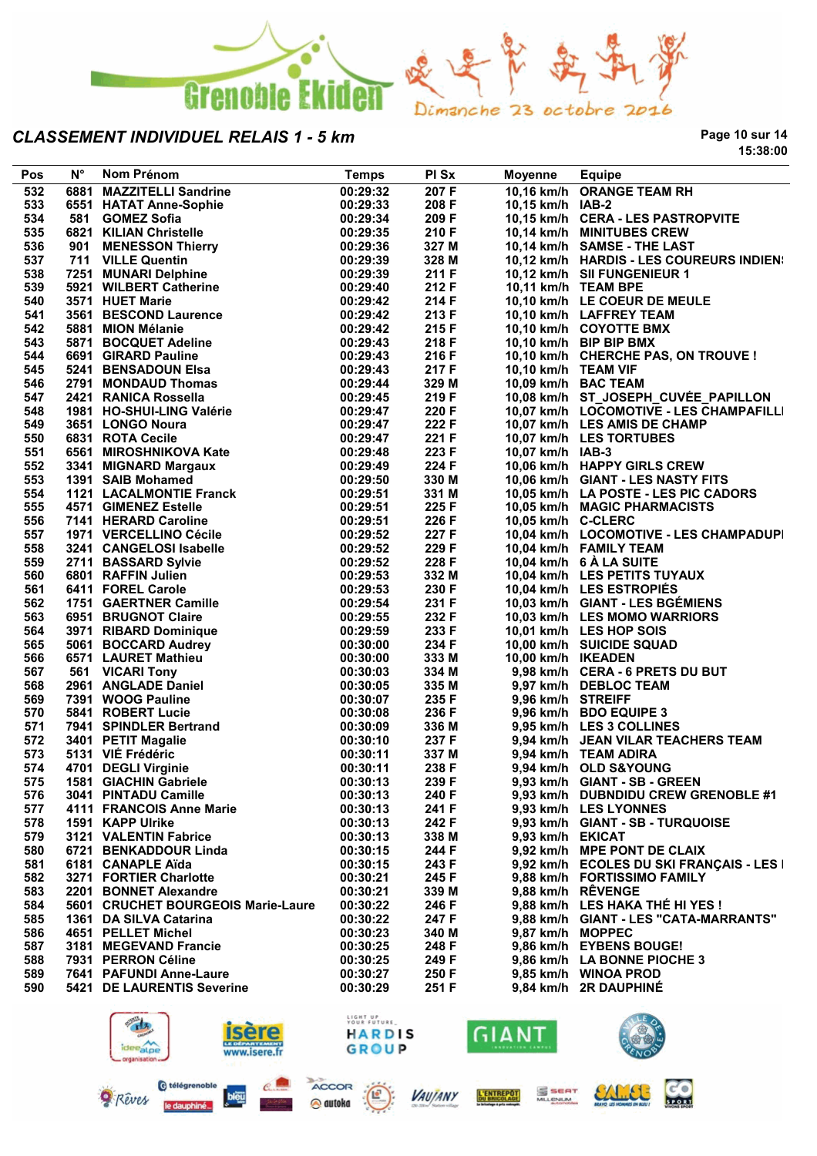

**Page 10 sur 14 15:38:00**

| Pos | $N^{\circ}$ | Nom Prénom                                                                                                        | <b>Temps</b> | PI Sx | <b>Moyenne</b>      | <b>Equipe</b>                            |
|-----|-------------|-------------------------------------------------------------------------------------------------------------------|--------------|-------|---------------------|------------------------------------------|
| 532 |             | 6881 MAZZITELLI Sandrine                                                                                          | 00:29:32     | 207 F |                     | 10,16 km/h ORANGE TEAM RH                |
| 533 |             | 6551 HATAT Anne-Sophie                                                                                            | 00:29:33     | 208 F | 10,15 km/h IAB-2    |                                          |
| 534 |             | 581 GOMEZ Sofia                                                                                                   | 00:29:34     | 209 F |                     | 10,15 km/h CERA - LES PASTROPVITE        |
| 535 |             | 6821 KILIAN Christelle                                                                                            | 00:29:35     | 210 F |                     | 10,14 km/h MINITUBES CREW                |
| 536 |             |                                                                                                                   | 00:29:36     | 327 M |                     | 10,14 km/h SAMSE - THE LAST              |
| 537 |             | 6821   KILIAN Christelle<br>901    MENESSON Thierry<br>711    VILLE Quentin                                       | 00:29:39     | 328 M |                     | 10,12 km/h HARDIS - LES COUREURS INDIEN: |
| 538 |             |                                                                                                                   | 00:29:39     | 211 F |                     |                                          |
|     |             | 7251 MUNARI Delphine                                                                                              |              |       |                     | 10,12 km/h SII FUNGENIEUR 1              |
| 539 |             | 5921 WILBERT Catherine                                                                                            | 00:29:40     | 212 F |                     | 10,11 km/h TEAM BPE                      |
| 540 |             | 3571 HUET Marie                                                                                                   | 00:29:42     | 214 F |                     | 10,10 km/h LE COEUR DE MEULE             |
| 541 |             | 3561 BESCOND Laurence                                                                                             | 00:29:42     | 213 F |                     | 10,10 km/h LAFFREY TEAM                  |
| 542 |             | 5881 MION Mélanie                                                                                                 | 00:29:42     | 215 F |                     | 10,10 km/h COYOTTE BMX                   |
| 543 |             | 5871 BOCQUET Adeline                                                                                              | 00:29:43     | 218 F |                     | 10,10 km/h BIP BIP BMX                   |
| 544 |             | 6691 GIRARD Pauline                                                                                               | 00:29:43     | 216 F |                     | 10,10 km/h CHERCHE PAS, ON TROUVE !      |
| 545 |             | 5241 BENSADOUN Elsa                                                                                               | 00:29:43     | 217 F | 10,10 km/h TEAM VIF |                                          |
| 546 |             | 2791 MONDAUD Thomas                                                                                               | 00:29:44     | 329 M |                     | 10,09 km/h BAC TEAM                      |
| 547 |             |                                                                                                                   | 00:29:45     | 219 F |                     | 10,08 km/h ST_JOSEPH_CUVÉE_PAPILLON      |
| 548 |             |                                                                                                                   | 00:29:47     | 220 F |                     | 10,07 km/h LOCOMOTIVE - LES CHAMPAFILLI  |
| 549 |             | 2791 MONDAUD HUSHER<br>2421 RANICA Rossella<br>1981 HO-SHUI-LING Valérie<br>1981 HO-SHUI-LING Valérie             | 00:29:47     | 222 F |                     | 10,07 km/h LES AMIS DE CHAMP             |
| 550 |             | 6831 ROTA Cecile                                                                                                  | 00:29:47     | 221 F |                     | 10,07 km/h LES TORTUBES                  |
| 551 |             | 6561 MIROSHNIKOVA Kate                                                                                            | 00:29:48     | 223 F | 10,07 km/h IAB-3    |                                          |
| 552 |             | 3341 MIGNARD Margaux                                                                                              | 00:29:49     | 224 F |                     | 10,06 km/h HAPPY GIRLS CREW              |
| 553 |             | 1391 SAIB Mohamed                                                                                                 | 00:29:50     | 330 M |                     | 10,06 km/h GIANT - LES NASTY FITS        |
| 554 |             | <b>1121 LACALMONTIE Franck</b>                                                                                    | 00:29:51     | 331 M |                     | 10,05 km/h LA POSTE - LES PIC CADORS     |
| 555 |             | 4571 GIMENEZ Estelle                                                                                              | 00:29:51     | 225 F |                     |                                          |
|     |             |                                                                                                                   |              |       |                     | 10,05 km/h MAGIC PHARMACISTS             |
| 556 |             | 7141 HERARD Caroline                                                                                              | 00:29:51     | 226 F | 10,05 km/h C-CLERC  |                                          |
| 557 |             | 1971   VERCELLINO Cécile                                                                                          | 00:29:52     | 227 F |                     | 10,04 km/h LOCOMOTIVE - LES CHAMPADUPI   |
| 558 |             | 3241 CANGELOSI Isabelle                                                                                           | 00:29:52     | 229 F |                     | 10,04 km/h FAMILY TEAM                   |
| 559 |             | 2711 BASSARD Sylvie                                                                                               | 00:29:52     | 228 F |                     | 10,04 km/h 6 À LA SUITE                  |
| 560 |             | 6801 RAFFIN Julien                                                                                                | 00:29:53     | 332 M |                     | 10,04 km/h LES PETITS TUYAUX             |
| 561 |             | 6411 FOREL Carole                                                                                                 | 00:29:53     | 230 F |                     | 10,04 km/h LES ESTROPIÉS                 |
| 562 |             | 1751 GAERTNER Camille                                                                                             | 00:29:54     | 231 F |                     | 10,03 km/h GIANT - LES BGÉMIENS          |
| 563 |             | 6951 BRUGNOT Claire                                                                                               | 00:29:55     | 232 F |                     | 10,03 km/h LES MOMO WARRIORS             |
| 564 |             | 3971 RIBARD Dominique                                                                                             | 00:29:59     | 233 F |                     | 10,01 km/h LES HOP SOIS                  |
| 565 |             |                                                                                                                   | 00:30:00     | 234 F |                     | 10,00 km/h SUICIDE SQUAD                 |
| 566 |             |                                                                                                                   | 00:30:00     | 333 M | 10,00 km/h IKEADEN  |                                          |
| 567 |             | 5061 BOCCARD Audrey<br>5571 LAURET Mathieu<br>561 VICARI Tony<br>2961 ANGLADE Daniel<br>7391 WOOG Pauline         | 00:30:03     | 334 M |                     | 9,98 km/h CERA - 6 PRETS DU BUT          |
| 568 |             |                                                                                                                   | 00:30:05     | 335 M |                     | 9,97 km/h DEBLOC TEAM                    |
| 569 |             |                                                                                                                   | 00:30:07     | 235 F | 9,96 km/h STREIFF   |                                          |
| 570 |             | 5841 ROBERT Lucie                                                                                                 | 00:30:08     | 236 F |                     | 9,96 km/h BDO EQUIPE 3                   |
| 571 |             |                                                                                                                   | 00:30:09     | 336 M |                     | 9,95 km/h LES 3 COLLINES                 |
| 572 |             |                                                                                                                   | 00:30:10     | 237 F |                     | 9,94 km/h JEAN VILAR TEACHERS TEAM       |
| 573 |             |                                                                                                                   | 00:30:11     | 337 M |                     | 9,94 km/h TEAM ADIRA                     |
| 574 |             | 7941 SPINDLER Bertrand<br>3401 PETIT Magalie<br>5131 VIÉ Frédéric<br>4701 DEGLI Virginie<br>1581 GIACHIN Gabriele | 00:30:11     | 238 F |                     | 9,94 km/h OLD S&YOUNG                    |
| 575 |             | 1581 GIACHIN Gabriele                                                                                             | 00:30:13     | 239 F |                     | 9,93 km/h GIANT - SB - GREEN             |
| 576 |             | 3041 PINTADU Camille                                                                                              | 00:30:13     | 240 F |                     | 9,93 km/h DUBNDIDU CREW GRENOBLE #1      |
|     |             |                                                                                                                   |              |       |                     |                                          |
| 577 |             | 4111 FRANCOIS Anne Marie                                                                                          | 00:30:13     | 241 F |                     | 9,93 km/h LES LYONNES                    |
| 578 |             | 1591 KAPP Ulrike                                                                                                  | 00:30:13     | 242 F |                     | 9,93 km/h GIANT - SB - TURQUOISE         |
| 579 |             | 3121 VALENTIN Fabrice                                                                                             | 00:30:13     | 338 M | 9.93 km/h EKICAT    |                                          |
| 580 |             | 6721 BENKADDOUR Linda                                                                                             | 00:30:15     | 244 F |                     | 9,92 km/h MPE PONT DE CLAIX              |
| 581 |             | 6181 CANAPLE Aïda                                                                                                 | 00:30:15     | 243 F |                     | 9,92 km/h ECOLES DU SKI FRANÇAIS - LES I |
| 582 |             | 3271 FORTIER Charlotte                                                                                            | 00:30:21     | 245 F |                     | 9,88 km/h FORTISSIMO FAMILY              |
| 583 |             | 2201 BONNET Alexandre                                                                                             | 00:30:21     | 339 M |                     | 9,88 km/h RÊVENGE                        |
| 584 |             | 5601 CRUCHET BOURGEOIS Marie-Laure                                                                                | 00:30:22     | 246 F |                     | 9,88 km/h LES HAKA THÉ HI YES !          |
| 585 |             | 1361 DA SILVA Catarina                                                                                            | 00:30:22     | 247 F |                     | 9,88 km/h GIANT - LES "CATA-MARRANTS"    |
| 586 |             | 4651 PELLET Michel                                                                                                | 00:30:23     | 340 M | 9,87 km/h MOPPEC    |                                          |
| 587 |             | 3181 MEGEVAND Francie                                                                                             | 00:30:25     | 248 F |                     | 9.86 km/h EYBENS BOUGE!                  |
| 588 |             | 7931 PERRON Céline                                                                                                | 00:30:25     | 249 F |                     | 9.86 km/h LA BONNE PIOCHE 3              |
| 589 |             | 7641 PAFUNDI Anne-Laure                                                                                           | 00:30:27     | 250 F |                     | 9,85 km/h WINOA PROD                     |
| 590 |             | 5421 DE LAURENTIS Severine                                                                                        | 00:30:29     | 251 F |                     | 9,84 km/h 2R DAUPHINE                    |
|     |             |                                                                                                                   |              |       |                     |                                          |



le daupi

@ autoka



**VAUJANY** 



S SEAT

L'ENTREPOT



**CO** 

EALLEE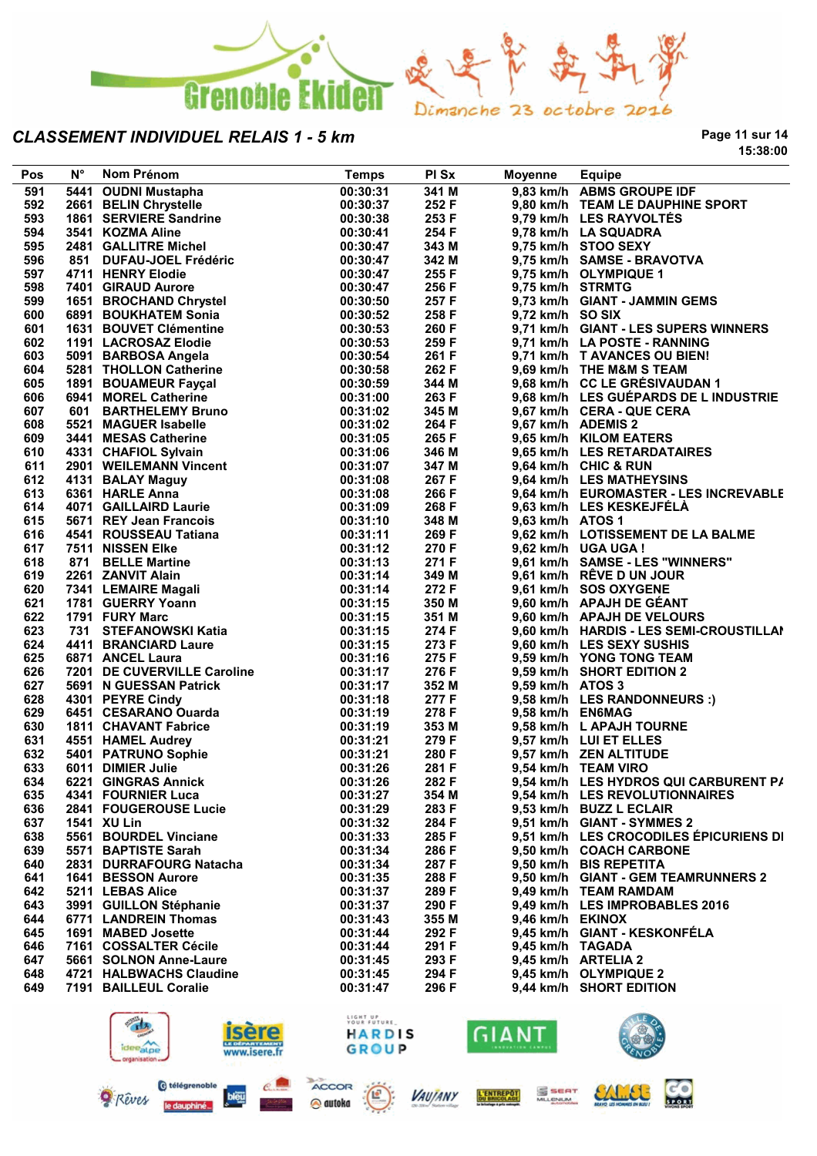

**Page 11 sur 14 15:38:00**

| Pos | $N^{\circ}$ | Nom Prénom                            | <b>Temps</b> | PI Sx | Moyenne          | <b>Equipe</b>                           |
|-----|-------------|---------------------------------------|--------------|-------|------------------|-----------------------------------------|
| 591 |             | 5441 OUDNI Mustapha                   | 00:30:31     | 341 M |                  | 9,83 km/h ABMS GROUPE IDF               |
| 592 |             | 2661 BELIN Chrystelle                 | 00:30:37     | 252 F |                  | 9,80 km/h TEAM LE DAUPHINE SPORT        |
| 593 |             | 1861 SERVIERE Sandrine                | 00:30:38     | 253 F |                  | 9,79 km/h LES RAYVOLTÉS                 |
| 594 |             | 3541 KOZMA Aline                      | 00:30:41     | 254 F |                  | 9,78 km/h LA SQUADRA                    |
| 595 |             | 2481 GALLITRE Michel                  | 00:30:47     | 343 M |                  | 9,75 km/h STOO SEXY                     |
| 596 |             | 851 DUFAU-JOEL Frédéric               | 00:30:47     | 342 M |                  | 9,75 km/h SAMSE - BRAVOTVA              |
| 597 |             | 4711 HENRY Elodie                     | 00:30:47     | 255 F |                  | 9,75 km/h OLYMPIQUE 1                   |
| 598 |             | 7401 GIRAUD Aurore                    | 00:30:47     | 256 F | 9,75 km/h STRMTG |                                         |
| 599 |             | 1651 BROCHAND Chrystel                | 00:30:50     | 257 F |                  | 9,73 km/h GIANT - JAMMIN GEMS           |
| 600 |             | 6891 BOUKHATEM Sonia                  | 00:30:52     | 258 F | 9,72 km/h SO SIX |                                         |
| 601 |             | 1631 BOUVET Clémentine                | 00:30:53     | 260 F |                  | 9,71 km/h GIANT - LES SUPERS WINNERS    |
| 602 |             | 1191 LACROSAZ Elodie                  | 00:30:53     | 259 F |                  | 9,71 km/h LA POSTE - RANNING            |
| 603 |             | 5091 BARBOSA Angela                   | 00:30:54     | 261 F |                  | 9,71 km/h T AVANCES OU BIEN!            |
| 604 |             | 5281 THOLLON Catherine                | 00:30:58     | 262 F |                  | 9,69 km/h THE M&M S TEAM                |
| 605 |             | 1891 BOUAMEUR Fayçal                  | 00:30:59     | 344 M |                  | 9,68 km/h CC LE GRÉSIVAUDAN 1           |
| 606 |             | 6941 MOREL Catherine                  | 00:31:00     | 263 F |                  | 9,68 km/h LES GUÉPARDS DE L INDUSTRIE   |
| 607 |             | 601 BARTHELEMY Bruno<br>5521 MACULE : | 00:31:02     | 345 M |                  | 9,67 km/h CERA - QUE CERA               |
| 608 |             | 5521 MAGUER Isabelle                  | 00:31:02     | 264 F |                  | 9,67 km/h ADEMIS 2                      |
| 609 |             | 3441 MESAS Catherine                  | 00:31:05     | 265 F |                  | 9,65 km/h KILOM EATERS                  |
| 610 |             | 4331 CHAFIOL Sylvain                  | 00:31:06     | 346 M |                  | 9,65 km/h LES RETARDATAIRES             |
| 611 |             | 2901 WEILEMANN Vincent                | 00:31:07     | 347 M |                  | 9,64 km/h CHIC & RUN                    |
| 612 |             |                                       | 00:31:08     | 267 F |                  | 9,64 km/h LES MATHEYSINS                |
| 613 |             | 4131 BALAY Maguy<br>6361 HARLE Anna   | 00:31:08     | 266 F |                  | 9,64 km/h EUROMASTER - LES INCREVABLE   |
| 614 |             | 4071 GAILLAIRD Laurie                 | 00:31:09     | 268 F |                  | 9,63 km/h LES KESKEJFÉLÀ                |
|     |             |                                       |              | 348 M |                  |                                         |
| 615 |             | 5671 REY Jean Francois                | 00:31:10     |       | 9,63 km/h ATOS 1 | 9.62 km/h LOTISSEMENT DE LA BALME       |
| 616 |             | 4541 ROUSSEAU Tatiana                 | 00:31:11     | 269 F |                  |                                         |
| 617 |             | 7511 NISSEN Elke                      | 00:31:12     | 270 F |                  | 9,62 km/h UGA UGA !                     |
| 618 |             | 871 BELLE Martine                     | 00:31:13     | 271 F |                  | 9,61 km/h SAMSE - LES "WINNERS"         |
| 619 |             | 2261 ZANVIT Alain                     | 00:31:14     | 349 M |                  | 9,61 km/h RÊVE D UN JOUR                |
| 620 |             | 7341 LEMAIRE Magali                   | 00:31:14     | 272 F |                  | 9,61 km/h SOS OXYGENE                   |
| 621 |             | 1781 GUERRY Yoann                     | 00:31:15     | 350 M |                  | 9,60 km/h APAJH DE GÉANT                |
| 622 |             | 1791 FURY Marc                        | 00:31:15     | 351 M |                  | 9,60 km/h APAJH DE VELOURS              |
| 623 |             | 731 STEFANOWSKI Katia                 | 00:31:15     | 274 F |                  | 9,60 km/h HARDIS - LES SEMI-CROUSTILLAI |
| 624 |             | 4411 BRANCIARD Laure                  | 00:31:15     | 273 F |                  | 9,60 km/h LES SEXY SUSHIS               |
| 625 |             | 6871 ANCEL Laura                      | 00:31:16     | 275 F |                  | 9,59 km/h YONG TONG TEAM                |
| 626 |             | 7201 DE CUVERVILLE Caroline           | 00:31:17     | 276 F |                  | 9,59 km/h SHORT EDITION 2               |
| 627 |             | 5691 N GUESSAN Patrick                | 00:31:17     | 352 M | 9,59 km/h ATOS 3 |                                         |
| 628 |             | 4301 PEYRE Cindy                      | 00:31:18     | 277 F |                  | 9,58 km/h LES RANDONNEURS :)            |
| 629 |             | 6451 CESARANO Ouarda                  | 00:31:19     | 278 F | 9,58 km/h EN6MAG |                                         |
| 630 |             | <b>1811 CHAVANT Fabrice</b>           | 00:31:19     | 353 M |                  | 9,58 km/h L APAJH TOURNE                |
| 631 |             | 4551 HAMEL Audrey                     | 00:31:21     | 279 F |                  | 9,57 km/h LUI ET ELLES                  |
| 632 |             | 5401 PATRUNO Sophie                   | 00:31:21     | 280 F |                  | 9,57 km/h ZEN ALTITUDE                  |
| 633 |             | 6011 DIMIER Julie                     | 00:31:26     | 281 F |                  | 9,54 km/h TEAM VIRO                     |
| 634 |             | 6221 GINGRAS Annick                   | 00:31:26     | 282 F |                  | 9,54 km/h LES HYDROS QUI CARBURENT P/   |
| 635 |             | 4341 FOURNIER Luca                    | 00:31:27     | 354 M |                  | 9,54 km/h LES REVOLUTIONNAIRES          |
| 636 |             | 2841 FOUGEROUSE Lucie                 | 00:31:29     | 283 F |                  | 9,53 km/h BUZZ L ECLAIR                 |
| 637 |             | 1541 XU Lin                           | 00:31:32     | 284 F |                  | 9,51 km/h GIANT - SYMMES 2              |
| 638 |             | 5561 BOURDEL Vinciane                 | 00:31:33     | 285 F |                  | 9,51 km/h LES CROCODILES EPICURIENS DI  |
| 639 |             | 5571 BAPTISTE Sarah                   | 00:31:34     | 286 F |                  | 9,50 km/h COACH CARBONE                 |
| 640 |             | 2831 DURRAFOURG Natacha               | 00:31:34     | 287 F |                  | 9,50 km/h BIS REPETITA                  |
| 641 |             | <b>1641 BESSON Aurore</b>             | 00:31:35     | 288 F |                  | 9,50 km/h GIANT - GEM TEAMRUNNERS 2     |
| 642 |             | 5211 LEBAS Alice                      | 00:31:37     | 289 F |                  | 9,49 km/h TEAM RAMDAM                   |
| 643 |             | 3991 GUILLON Stéphanie                | 00:31:37     | 290 F |                  | 9,49 km/h LES IMPROBABLES 2016          |
| 644 |             | 6771 LANDREIN Thomas                  | 00:31:43     | 355 M | 9,46 km/h EKINOX |                                         |
| 645 |             | 1691 MABED Josette                    | 00:31:44     | 292 F |                  | 9,45 km/h GIANT - KESKONFÉLA            |
| 646 |             | 7161 COSSALTER Cécile                 | 00:31:44     | 291 F | 9,45 km/h TAGADA |                                         |
| 647 |             | 5661 SOLNON Anne-Laure                | 00:31:45     | 293 F |                  | 9,45 km/h ARTELIA 2                     |
| 648 |             | 4721 HALBWACHS Claudine               | 00:31:45     | 294 F |                  | 9,45 km/h OLYMPIQUE 2                   |
| 649 |             | 7191 BAILLEUL Coralie                 | 00:31:47     | 296 F |                  | 9,44 km/h SHORT EDITION                 |
|     |             |                                       |              |       |                  |                                         |



bleu

Rêves

le daupt







GIANT

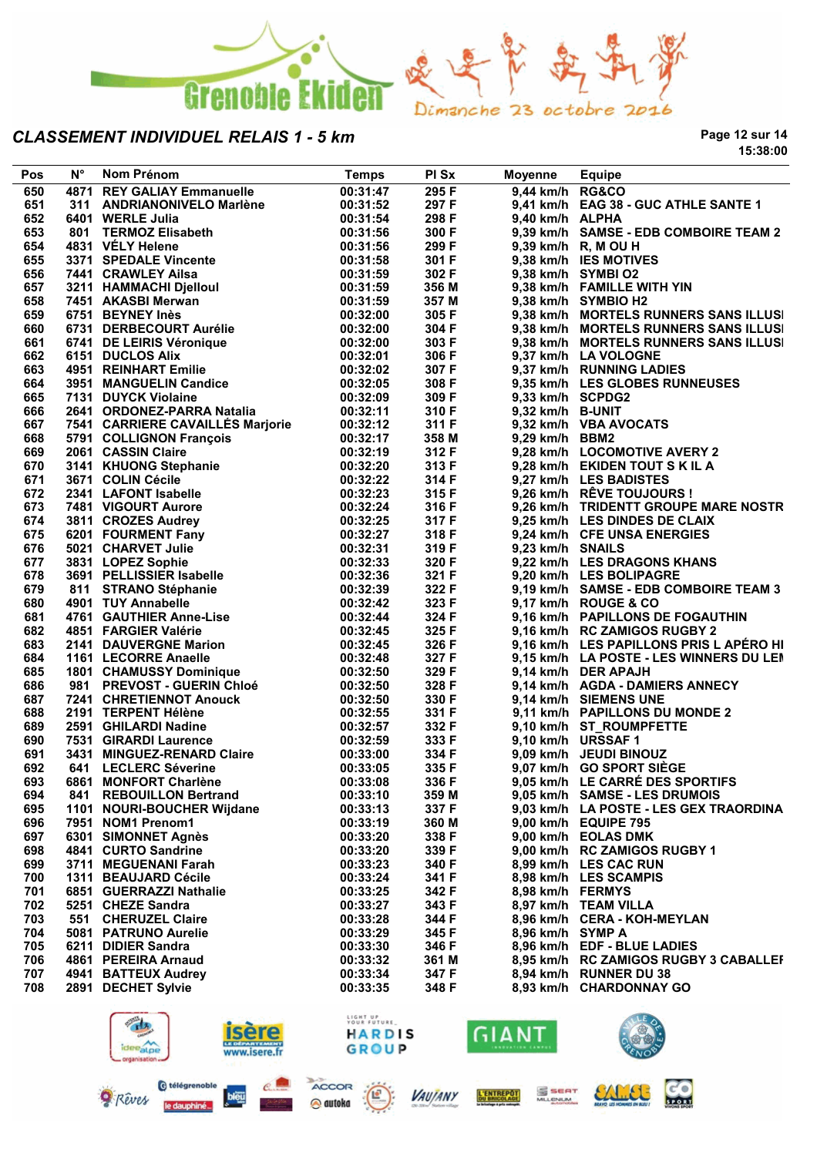

**Page 12 sur 14 15:38:00**

| <b>Pos</b> | Ν° | Nom Prénom                                                                                                                                                                                                                                         | <b>Temps</b> | PI Sx                   | Moyenne          | <b>Equipe</b>                           |
|------------|----|----------------------------------------------------------------------------------------------------------------------------------------------------------------------------------------------------------------------------------------------------|--------------|-------------------------|------------------|-----------------------------------------|
| 650        |    | <b>4871 REY GALIAY Emmanuelle</b>                                                                                                                                                                                                                  | 00:31:47     | 295F                    | 9,44 km/h RG&CO  |                                         |
| 651        |    | 311 ANDRIANONIVELO Marlène                                                                                                                                                                                                                         | 00:31:52     | 297 F                   |                  | 9,41 km/h EAG 38 - GUC ATHLE SANTE 1    |
| 652        |    | 6401 WERLE Julia                                                                                                                                                                                                                                   | 00:31:54     | 298 F                   | 9,40 km/h ALPHA  |                                         |
| 653        |    | 801 TERMOZ Elisabeth                                                                                                                                                                                                                               | 00:31:56     | 300 F                   |                  | 9,39 km/h SAMSE - EDB COMBOIRE TEAM 2   |
| 654        |    | 4831 VELY Helene                                                                                                                                                                                                                                   | 00:31:56     | 299 F                   |                  | 9,39 km/h R, M OU H                     |
| 655        |    | 3371 SPEDALE Vincente                                                                                                                                                                                                                              | 00:31:58     | 301 F                   |                  | 9,38 km/h IES MOTIVES                   |
| 656        |    | 7441 CRAWLEY Ailsa                                                                                                                                                                                                                                 | 00:31:59     | 302 F                   |                  | 9,38 km/h SYMBI O2                      |
| 657        |    |                                                                                                                                                                                                                                                    | 00:31:59     | 356 M                   |                  | 9,38 km/h FAMILLE WITH YIN              |
|            |    | 3211 HAMMACHI Djelloul                                                                                                                                                                                                                             | 00:31:59     |                         |                  |                                         |
| 658        |    | 7451 AKASBI Merwan                                                                                                                                                                                                                                 |              | 357 M                   |                  | 9,38 km/h SYMBIO H2                     |
| 659        |    | 6751 BEYNEY Inès                                                                                                                                                                                                                                   | 00:32:00     | 305 F                   |                  | 9,38 km/h MORTELS RUNNERS SANS ILLUSI   |
| 660        |    | 6731 DERBECOURT Aurélie                                                                                                                                                                                                                            | 00:32:00     | 304 F                   |                  | 9,38 km/h MORTELS RUNNERS SANS ILLUSI   |
| 661        |    | 6741 DE LEIRIS Véronique                                                                                                                                                                                                                           | 00:32:00     | 303 F                   |                  | 9,38 km/h MORTELS RUNNERS SANS ILLUSI   |
| 662        |    | 6151 DUCLOS Alix                                                                                                                                                                                                                                   | 00:32:01     | 306 F                   |                  | 9,37 km/h LA VOLOGNE                    |
| 663        |    | 4951 REINHART Emilie                                                                                                                                                                                                                               | 00:32:02     | 307 F                   |                  | 9,37 km/h RUNNING LADIES                |
| 664        |    | 3951 MANGUELIN Candice                                                                                                                                                                                                                             | 00:32:05     | 308 F                   |                  | 9,35 km/h LES GLOBES RUNNEUSES          |
| 665        |    | 7131 DUYCK Violaine                                                                                                                                                                                                                                | 00:32:09     | 309 F                   | 9,33 km/h SCPDG2 |                                         |
| 666        |    | 2641 ORDONEZ-PARRA Natalia                                                                                                                                                                                                                         | 00:32:11     | 310 F                   | 9,32 km/h B-UNIT |                                         |
| 667        |    | 7541 CARRIERE CAVAILLÉS Marjorie                                                                                                                                                                                                                   | 00:32:12     | 311 F                   |                  | 9,32 km/h VBA AVOCATS                   |
| 668        |    | 5791 COLLIGNON François                                                                                                                                                                                                                            | 00:32:17     | 358 M                   | 9,29 km/h BBM2   |                                         |
| 669        |    | 2061 CASSIN Claire                                                                                                                                                                                                                                 | 00:32:19     | 312 F                   |                  | 9,28 km/h LOCOMOTIVE AVERY 2            |
| 670        |    |                                                                                                                                                                                                                                                    | 00:32:20     | 313 F                   |                  | 9,28 km/h EKIDEN TOUT S K IL A          |
| 671        |    | 2061 CASSIN Clare<br>3141 KHUONG Stephanie<br>3671 COLIN Cécile<br>2341 LAFONT Isabelle<br>7481 VIGOURT Aurore<br>3811 CROZES Audrey<br>6201 FOURMENT Fany<br>5021 CHARVET Julie<br>3831 LOPEZ Sophie<br>3691 PELLISSIER Isabelle<br>811 STRANO St | 00:32:22     | 314 F<br>315 F<br>316 F |                  | 9,27 km/h LES BADISTES                  |
| 672        |    |                                                                                                                                                                                                                                                    | 00:32:23     |                         |                  | 9,26 km/h RÊVE TOUJOURS !               |
| 673        |    |                                                                                                                                                                                                                                                    | 00:32:24     | 316 F                   |                  | 9,26 km/h TRIDENTT GROUPE MARE NOSTR    |
| 674        |    |                                                                                                                                                                                                                                                    | 00:32:25     | 317 F                   |                  | 9,25 km/h LES DINDES DE CLAIX           |
| 675        |    |                                                                                                                                                                                                                                                    | 00:32:27     | 318 F                   |                  | 9,24 km/h CFE UNSA ENERGIES             |
| 676        |    |                                                                                                                                                                                                                                                    | 00:32:31     | 319 F                   | 9,23 km/h SNAILS |                                         |
| 677        |    |                                                                                                                                                                                                                                                    | 00:32:33     | 320 F                   |                  | 9,22 km/h LES DRAGONS KHANS             |
| 678        |    |                                                                                                                                                                                                                                                    | 00:32:36     | 321 F                   |                  | 9,20 km/h LES BOLIPAGRE                 |
| 679        |    |                                                                                                                                                                                                                                                    | 00:32:39     | 322 F                   |                  | 9,19 km/h SAMSE - EDB COMBOIRE TEAM 3   |
| 680        |    | 4901 TUY Annabelle                                                                                                                                                                                                                                 | 00:32:42     | 323 F                   |                  | 9,17 km/h ROUGE & CO                    |
| 681        |    | 4761 GAUTHIER Anne-Lise                                                                                                                                                                                                                            | 00:32:44     | 324 F                   |                  | 9,16 km/h PAPILLONS DE FOGAUTHIN        |
| 682        |    | 4851 FARGIER Valérie                                                                                                                                                                                                                               | 00:32:45     | 325 F                   |                  | 9,16 km/h RC ZAMIGOS RUGBY 2            |
|            |    |                                                                                                                                                                                                                                                    |              |                         |                  |                                         |
| 683        |    | 2141 DAUVERGNE Marion                                                                                                                                                                                                                              | 00:32:45     | 326 F                   |                  | 9,16 km/h LES PAPILLONS PRIS L APÉRO HI |
| 684        |    | 1161 LECORRE Anaelle                                                                                                                                                                                                                               | 00:32:48     | 327 F                   |                  | 9,15 km/h LA POSTE - LES WINNERS DU LEN |
| 685        |    | 1801 CHAMUSSY Dominique                                                                                                                                                                                                                            | 00:32:50     | 329 F                   |                  | 9,14 km/h DER APAJH                     |
| 686        |    | 981 PREVOST - GUERIN Chloé                                                                                                                                                                                                                         | 00:32:50     | 328 F                   |                  | 9,14 km/h AGDA - DAMIERS ANNECY         |
| 687        |    | 7241 CHRETIENNOT Anouck                                                                                                                                                                                                                            | 00:32:50     | 330 F                   |                  | 9,14 km/h SIEMENS UNE                   |
| 688        |    | 2191 TERPENT Hélène                                                                                                                                                                                                                                | 00:32:55     | 331 F                   |                  | 9,11 km/h PAPILLONS DU MONDE 2          |
| 689        |    | 2591 GHILARDI Nadine                                                                                                                                                                                                                               | 00:32:57     | 332 F                   |                  | 9,10 km/h ST ROUMPFETTE                 |
| 690        |    | 7531 GIRARDI Laurence                                                                                                                                                                                                                              | 00:32:59     | 333 F                   |                  | 9,10 km/h URSSAF 1                      |
| 691        |    | 3431 MINGUEZ-RENARD Claire                                                                                                                                                                                                                         | 00:33:00     | 334 F                   |                  | 9,09 km/h JEUDI BINOUZ                  |
| 692        |    | 641 LECLERC Séverine                                                                                                                                                                                                                               | 00:33:05     | 335 F                   |                  | 9,07 km/h GO SPORT SIÈGE                |
| 693        |    | 6861 MONFORT Charlène                                                                                                                                                                                                                              | 00:33:08     | 336 F                   |                  | 9,05 km/h LE CARRÉ DES SPORTIFS         |
| 694        |    | 841 REBOUILLON Bertrand                                                                                                                                                                                                                            | 00:33:10     | 359 M                   |                  | 9,05 km/h SAMSE - LES DRUMOIS           |
| 695        |    | 1101 NOURI-BOUCHER Wijdane                                                                                                                                                                                                                         | 00:33:13     | 337 F                   |                  | 9,03 km/h LA POSTE - LES GEX TRAORDINA  |
| 696        |    | 7951 NOM1 Prenom1                                                                                                                                                                                                                                  | 00:33:19     | 360 M                   |                  | 9,00 km/h EQUIPE 795                    |
| 697        |    | 6301 SIMONNET Agnès                                                                                                                                                                                                                                | 00:33:20     | 338 F                   |                  | 9,00 km/h EOLAS DMK                     |
| 698        |    | 4841 CURTO Sandrine                                                                                                                                                                                                                                | 00:33:20     | 339 F                   |                  | 9,00 km/h RC ZAMIGOS RUGBY 1            |
| 699        |    | 3711 MEGUENANI Farah                                                                                                                                                                                                                               | 00:33:23     | 340 F                   |                  | 8,99 km/h LES CAC RUN                   |
| 700        |    | 1311 BEAUJARD Cécile                                                                                                                                                                                                                               | 00:33:24     | 341 F                   |                  | 8,98 km/h LES SCAMPIS                   |
| 701        |    | 6851 GUERRAZZI Nathalie                                                                                                                                                                                                                            | 00:33:25     | 342 F                   | 8,98 km/h FERMYS |                                         |
| 702        |    | 5251 CHEZE Sandra                                                                                                                                                                                                                                  | 00:33:27     | 343 F                   |                  | 8,97 km/h TEAM VILLA                    |
| 703        |    | 551 CHERUZEL Claire                                                                                                                                                                                                                                | 00:33:28     | 344 F                   |                  | 8,96 km/h CERA - KOH-MEYLAN             |
| 704        |    | 5081 PATRUNO Aurelie                                                                                                                                                                                                                               | 00:33:29     | 345 F                   | 8,96 km/h SYMP A |                                         |
| 705        |    | 6211 DIDIER Sandra                                                                                                                                                                                                                                 | 00:33:30     | 346 F                   |                  | 8,96 km/h EDF - BLUE LADIES             |
|            |    |                                                                                                                                                                                                                                                    |              |                         |                  |                                         |
| 706        |    | 4861 PEREIRA Arnaud                                                                                                                                                                                                                                | 00:33:32     | 361 M                   |                  | 8,95 km/h RC ZAMIGOS RUGBY 3 CABALLEF   |
| 707        |    | 4941 BATTEUX Audrey                                                                                                                                                                                                                                | 00:33:34     | 347 F                   |                  | 8,94 km/h RUNNER DU 38                  |
| 708        |    | 2891 DECHET Sylvie                                                                                                                                                                                                                                 | 00:33:35     | 348 F                   |                  | 8,93 km/h CHARDONNAY GO                 |
|            |    |                                                                                                                                                                                                                                                    |              |                         |                  |                                         |



@ autoka

le daupi



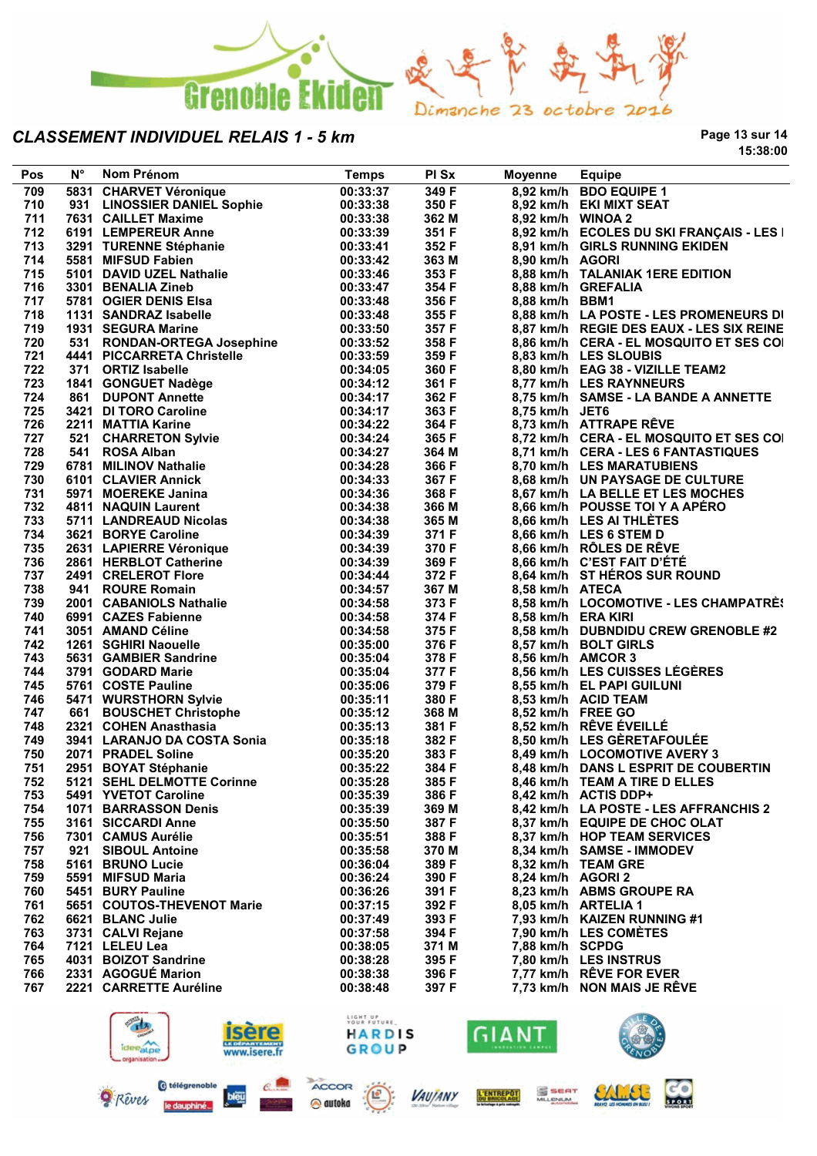

le daupt

**Page 13 sur 14 15:38:00**

| Pos        | $N^{\circ}$ | Nom Prénom                                                                                                                                                                                                  | <b>Temps</b>         | PI Sx                   | <b>Moyenne</b>     | <b>Equipe</b>                            |
|------------|-------------|-------------------------------------------------------------------------------------------------------------------------------------------------------------------------------------------------------------|----------------------|-------------------------|--------------------|------------------------------------------|
| 709        |             | 5831 CHARVET Véronique                                                                                                                                                                                      | 00:33:37             | 349 F                   |                    | 8,92 km/h BDO EQUIPE 1                   |
| 710        |             | 931 LINOSSIER DANIEL Sophie<br>7631 CAILLET Maxime<br>6191 LEMPEREUR Anne                                                                                                                                   | 00:33:38             | 350 F                   |                    | 8,92 km/h EKI MIXT SEAT                  |
| 711        |             |                                                                                                                                                                                                             | 00:33:38             | 362 M                   | 8,92 km/h WINOA 2  |                                          |
| 712        |             |                                                                                                                                                                                                             | 00:33:39             | 351 F                   |                    | 8,92 km/h ECOLES DU SKI FRANÇAIS - LES I |
| 713        |             | 3291 TURENNE Stéphanie                                                                                                                                                                                      | 00:33:41             | 352 F                   |                    | 8,91 km/h GIRLS RUNNING EKIDEN           |
| 714        |             | 3291   UKENNE Stephanie<br>5581 MIFSUD Fabien<br>5101 DAVID UZEL Nathalie<br>3301 BENALIA Zineb<br>5781 OGIER DENIS Elsa                                                                                    | 00:33:42             | 363 M                   | 8,90 km/h AGORI    |                                          |
| 715        |             |                                                                                                                                                                                                             | 00:33:46             | 353 F                   |                    | 8,88 km/h TALANIAK 1ERE EDITION          |
| 716        |             |                                                                                                                                                                                                             | 00:33:47             | 354 F                   |                    | 8,88 km/h GREFALIA                       |
| 717        |             |                                                                                                                                                                                                             | 00:33:48             | 356 F                   | 8,88 km/h BBM1     |                                          |
| 718        |             | 1131 SANDRAZ Isabelle                                                                                                                                                                                       | 00:33:48             | 355 F                   |                    | 8,88 km/h LA POSTE - LES PROMENEURS DI   |
| 719        |             | 1931 SEGURA Marine                                                                                                                                                                                          | 00:33:50             | 357 F                   |                    | 8,87 km/h REGIE DES EAUX - LES SIX REINE |
| 720        |             | 531 RONDAN-ORTEGA Josephine                                                                                                                                                                                 | 00:33:52             | 358 F                   |                    | 8,86 km/h CERA - EL MOSQUITO ET SES COI  |
| 721        |             | 4441 PICCARRETA Christelle                                                                                                                                                                                  | 00:33:59             | 359 F                   |                    | 8,83 km/h LES SLOUBIS                    |
| 722        |             | 371 ORTIZ Isabelle                                                                                                                                                                                          | 00:34:05             | 359 F<br>360 F          |                    | 8,80 km/h EAG 38 - VIZILLE TEAM2         |
| 723        |             |                                                                                                                                                                                                             | 00:34:12             | 361 F                   |                    | 8,77 km/h LES RAYNNEURS                  |
| 724        |             | 1841 GONGUET Nadège                                                                                                                                                                                         | 00:34:17             | 362 F                   |                    | 8,75 km/h SAMSE - LA BANDE A ANNETTE     |
| 725        |             |                                                                                                                                                                                                             | 00:34:17             | 363 F                   | 8,75 km/h JET6     |                                          |
|            |             |                                                                                                                                                                                                             |                      |                         |                    | 8,73 km/h ATTRAPE RÊVE                   |
| 726        |             | 1841 GONGOLT Nadege<br>18421 DI TORO Caroline<br>2211 MATTIA Karine<br>521 CHARRETON Sylvie<br>541 ROSA Alban<br>6781 MILINOV Nathalie<br>6101 CLAVIER Annick<br>5971 MOCIENE Janina<br>5944 NAQUIN Laurant | 00:34:22<br>00:34:24 | 364 F                   |                    |                                          |
| 727<br>728 |             |                                                                                                                                                                                                             |                      | 365 F                   |                    | 8,72 km/h CERA - EL MOSQUITO ET SES COI  |
|            |             |                                                                                                                                                                                                             | 00:34:27             | 364 M                   |                    | 8,71 km/h CERA - LES 6 FANTASTIQUES      |
| 729        |             |                                                                                                                                                                                                             | 00:34:28             | 366 F                   |                    | 8,70 km/h LES MARATUBIENS                |
| 730        |             |                                                                                                                                                                                                             | 00:34:33             | 367 F<br>367 F<br>368 F |                    | 8,68 km/h UN PAYSAGE DE CULTURE          |
| 731        |             |                                                                                                                                                                                                             | 00:34:36             |                         |                    | 8,67 km/h LA BELLE ET LES MOCHES         |
| 732        |             |                                                                                                                                                                                                             | 00:34:38             | 366 M                   |                    | 8,66 km/h POUSSE TOI Y A APÉRO           |
| 733        |             | 4811 NAQUIN Laurent<br>5711 LANDREAUD Nicolas<br>Canve Caroline                                                                                                                                             | 00:34:38             | 365 M                   |                    | 8,66 km/h LES AI THLÈTES                 |
| 734        |             |                                                                                                                                                                                                             | 00:34:39             | 371 F                   |                    | 8,66 km/h LES 6 STEM D                   |
| 735        |             |                                                                                                                                                                                                             | 00:34:39             |                         |                    | 8,66 km/h RÔLES DE RÊVE                  |
| 736        |             | 2631 LAPIERRE Véronique<br>2861 HERBLOT Catherine<br>2491 CRELEROT Flore                                                                                                                                    | 00:34:39             | 370 F<br>369 F<br>372 F |                    | 8,66 km/h C'EST FAIT D'ÉTÉ               |
| 737        |             |                                                                                                                                                                                                             | 00:34:44             |                         |                    | 8,64 km/h ST HÉROS SUR ROUND             |
| 738        |             | 941 ROURE Romain                                                                                                                                                                                            | 00:34:57             | 367 M                   | 8,58 km/h ATECA    |                                          |
| 739        |             | 2001 CABANIOLS Nathalie<br>6991 CAZES Fabienne<br>3051 AMAND Céline<br>1261 SGHIRI Naouelle<br>5631 GAMBIER Sandrine<br>3791 GOSTE Pauline                                                                  | 00:34:58             | 373 F                   |                    | 8,58 km/h LOCOMOTIVE - LES CHAMPATRÈS    |
| 740        |             |                                                                                                                                                                                                             | 00:34:58             | 374 F                   | 8,58 km/h ERA KIRI |                                          |
| 741        |             |                                                                                                                                                                                                             | 00:34:58             | 375 F                   |                    | 8,58 km/h DUBNDIDU CREW GRENOBLE #2      |
| 742        |             |                                                                                                                                                                                                             | 00:35:00             | 376 F                   |                    | 8,57 km/h BOLT GIRLS                     |
| 743        |             |                                                                                                                                                                                                             | 00:35:04             | 378 F                   | 8,56 km/h AMCOR 3  |                                          |
| 744        |             |                                                                                                                                                                                                             | 00:35:04             | 377 F                   |                    | 8,56 km/h LES CUISSES LÉGÈRES            |
| 745        |             | 5761 COSTE Pauline                                                                                                                                                                                          | 00:35:06             | 379 F                   |                    | 8,55 km/h EL PAPI GUILUNI                |
| 746        |             | 5471 WURSTHORN Sylvie                                                                                                                                                                                       | 00:35:11             | 380 F                   |                    | 8,53 km/h ACID TEAM                      |
| 747        |             | 661 BOUSCHET Christophe                                                                                                                                                                                     | 00:35:12             | 368 M                   | 8,52 km/h FREE GO  |                                          |
| 748        |             | 2321 COHEN Anasthasia                                                                                                                                                                                       | 00:35:13             | 381 F                   |                    | 8,52 km/h RÊVE ÉVEILLÉ                   |
| 749        |             | 2321   COHEN Anasthasia<br>3941   LARANJO DA COSTA Sonia                                                                                                                                                    | 00:35:18             | 382 F                   |                    | 8,50 km/h LES GÈRETAFOULÉE               |
| 750        |             | 2071 PRADEL Soline                                                                                                                                                                                          | 00:35:20             | 383 F                   |                    | 8,49 km/h LOCOMOTIVE AVERY 3             |
| 751        |             | 2951 BOYAT Stéphanie                                                                                                                                                                                        | 00:35:22             | 384 F                   |                    | 8,48 km/h DANS L ESPRIT DE COUBERTIN     |
| 752        |             | 5121 SEHL DELMOTTE Corinne                                                                                                                                                                                  | 00:35:28             | 385 F                   |                    | 8,46 km/h TEAM A TIRE D ELLES            |
| 753        |             | 5491 YVETOT Caroline                                                                                                                                                                                        | 00:35:39             | 386 F                   |                    | 8,42 km/h ACTIS DDP+                     |
| 754        |             | 1071 BARRASSON Denis                                                                                                                                                                                        | 00:35:39             | 369 M                   |                    | 8,42 km/h LA POSTE - LES AFFRANCHIS 2    |
| 755        |             | 3161 SICCARDI Anne                                                                                                                                                                                          | 00:35:50             | 387 F                   |                    | 8,37 km/h EQUIPE DE CHOC OLAT            |
| 756        |             | 7301 CAMUS Aurélie                                                                                                                                                                                          | 00:35:51             | 388 F                   |                    | 8,37 km/h HOP TEAM SERVICES              |
| 757        |             | 921 SIBOUL Antoine                                                                                                                                                                                          | 00:35:58             | 370 M                   |                    | 8,34 km/h SAMSE - IMMODEV                |
| 758        |             | 5161 BRUNO Lucie                                                                                                                                                                                            | 00:36:04             | 389 F                   |                    | 8,32 km/h TEAM GRE                       |
| 759        |             | 5591 MIFSUD Maria                                                                                                                                                                                           | 00:36:24             | 390 F                   | 8,24 km/h AGORI 2  |                                          |
| 760        |             | 5451 BURY Pauline                                                                                                                                                                                           | 00:36:26             | 391 F                   |                    | 8,23 km/h ABMS GROUPE RA                 |
| 761        |             | 5651 COUTOS-THEVENOT Marie                                                                                                                                                                                  | 00:37:15             | 392 F                   |                    | 8,05 km/h ARTELIA 1                      |
| 762        |             | 6621 BLANC Julie                                                                                                                                                                                            | 00:37:49             | 393 F                   |                    | 7,93 km/h KAIZEN RUNNING #1              |
| 763        |             | 3731 CALVI Rejane                                                                                                                                                                                           | 00:37:58             | 394 F                   |                    | 7,90 km/h LES COMÈTES                    |
| 764        |             | 7121 LELEU Lea                                                                                                                                                                                              | 00:38:05             | 371 M                   | 7,88 km/h SCPDG    |                                          |
| 765        |             | 4031 BOIZOT Sandrine                                                                                                                                                                                        | 00:38:28             | 395 F                   |                    | 7,80 km/h LES INSTRUS                    |
| 766        |             | 2331 AGOGUÉ Marion                                                                                                                                                                                          | 00:38:38             | 396 F                   |                    | 7,77 km/h RÊVE FOR EVER                  |
| 767        |             | 2221 CARRETTE Auréline                                                                                                                                                                                      | 00:38:48             | 397 F                   |                    | 7,73 km/h NON MAIS JE RÊVE               |
|            |             |                                                                                                                                                                                                             |                      |                         |                    |                                          |